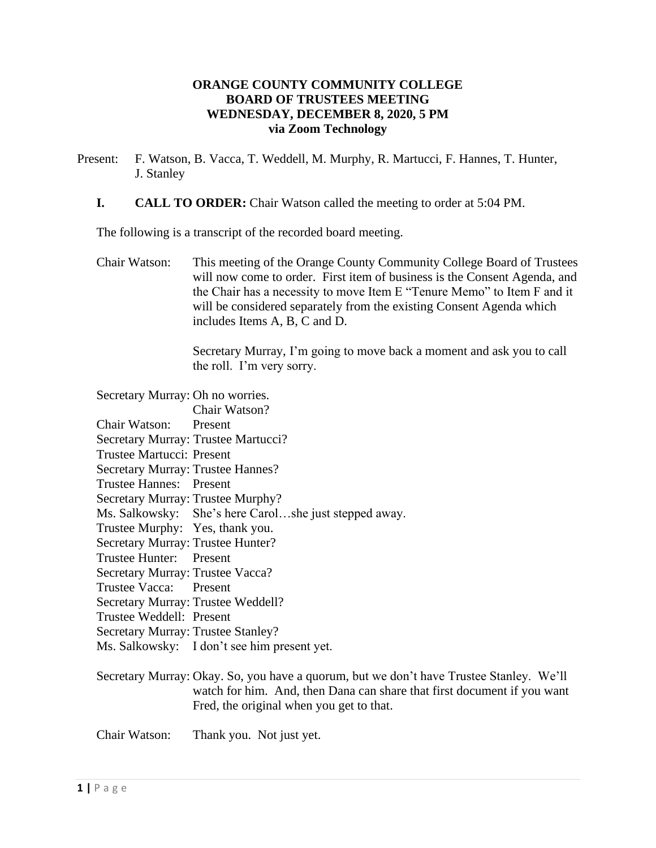# **ORANGE COUNTY COMMUNITY COLLEGE BOARD OF TRUSTEES MEETING WEDNESDAY, DECEMBER 8, 2020, 5 PM via Zoom Technology**

- Present: F. Watson, B. Vacca, T. Weddell, M. Murphy, R. Martucci, F. Hannes, T. Hunter, J. Stanley
	- **I. CALL TO ORDER:** Chair Watson called the meeting to order at 5:04 PM.

The following is a transcript of the recorded board meeting.

Chair Watson: This meeting of the Orange County Community College Board of Trustees will now come to order. First item of business is the Consent Agenda, and the Chair has a necessity to move Item E "Tenure Memo" to Item F and it will be considered separately from the existing Consent Agenda which includes Items A, B, C and D.

> Secretary Murray, I'm going to move back a moment and ask you to call the roll. I'm very sorry.

| Secretary Murray: Oh no worries.         |                                                       |
|------------------------------------------|-------------------------------------------------------|
|                                          | Chair Watson?                                         |
| Chair Watson: Present                    |                                                       |
|                                          | Secretary Murray: Trustee Martucci?                   |
| Trustee Martucci: Present                |                                                       |
| <b>Secretary Murray: Trustee Hannes?</b> |                                                       |
| Trustee Hannes: Present                  |                                                       |
| Secretary Murray: Trustee Murphy?        |                                                       |
|                                          | Ms. Salkowsky: She's here Carolshe just stepped away. |
| Trustee Murphy: Yes, thank you.          |                                                       |
| Secretary Murray: Trustee Hunter?        |                                                       |
| Trustee Hunter: Present                  |                                                       |
| Secretary Murray: Trustee Vacca?         |                                                       |
| Trustee Vacca: Present                   |                                                       |
| Secretary Murray: Trustee Weddell?       |                                                       |
| Trustee Weddell: Present                 |                                                       |
| Secretary Murray: Trustee Stanley?       |                                                       |
|                                          | Ms. Salkowsky: I don't see him present yet.           |
|                                          |                                                       |

Secretary Murray: Okay. So, you have a quorum, but we don't have Trustee Stanley. We'll watch for him. And, then Dana can share that first document if you want Fred, the original when you get to that.

Chair Watson: Thank you. Not just yet.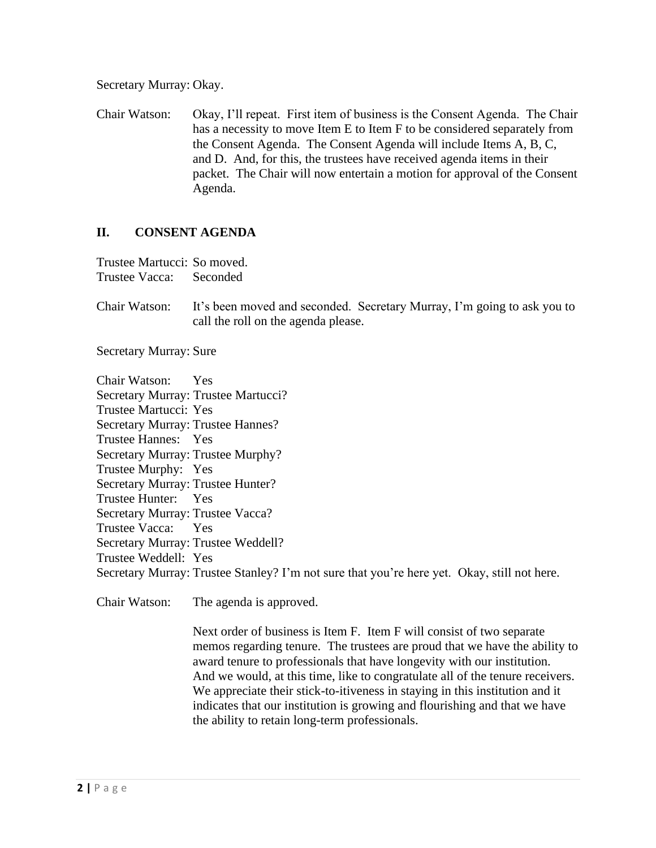Secretary Murray: Okay.

Chair Watson: Okay, I'll repeat. First item of business is the Consent Agenda. The Chair has a necessity to move Item E to Item F to be considered separately from the Consent Agenda. The Consent Agenda will include Items A, B, C, and D. And, for this, the trustees have received agenda items in their packet. The Chair will now entertain a motion for approval of the Consent Agenda.

# **II. CONSENT AGENDA**

Trustee Martucci: So moved. Trustee Vacca: Seconded

Chair Watson: It's been moved and seconded. Secretary Murray, I'm going to ask you to call the roll on the agenda please.

Secretary Murray: Sure

Chair Watson: Yes Secretary Murray: Trustee Martucci? Trustee Martucci: Yes Secretary Murray: Trustee Hannes? Trustee Hannes: Yes Secretary Murray: Trustee Murphy? Trustee Murphy: Yes Secretary Murray: Trustee Hunter? Trustee Hunter: Yes Secretary Murray: Trustee Vacca? Trustee Vacca: Yes Secretary Murray: Trustee Weddell? Trustee Weddell: Yes Secretary Murray: Trustee Stanley? I'm not sure that you're here yet. Okay, still not here.

Chair Watson: The agenda is approved.

Next order of business is Item F. Item F will consist of two separate memos regarding tenure. The trustees are proud that we have the ability to award tenure to professionals that have longevity with our institution. And we would, at this time, like to congratulate all of the tenure receivers. We appreciate their stick-to-itiveness in staying in this institution and it indicates that our institution is growing and flourishing and that we have the ability to retain long-term professionals.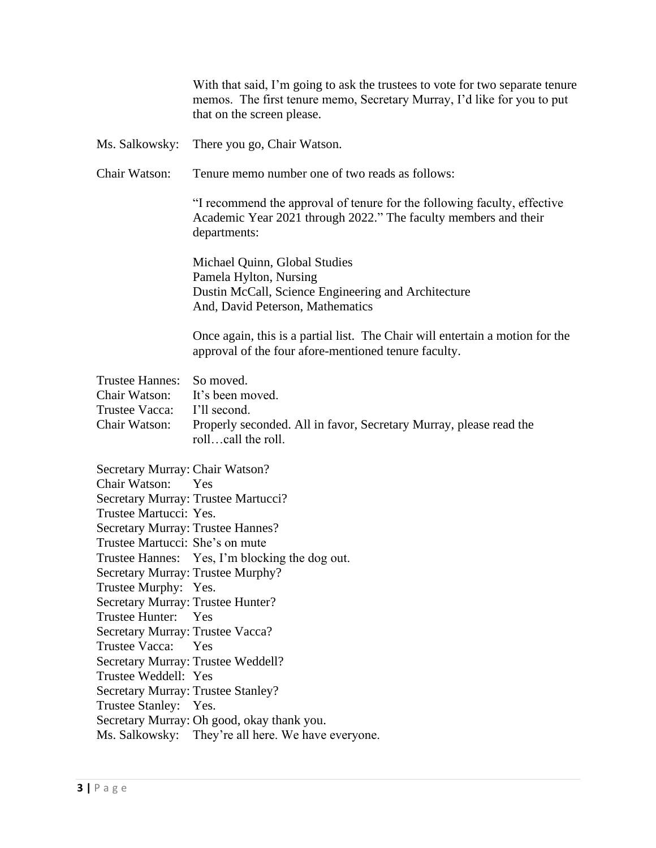|                                                                                                                                                                                                                                                                                                                                                                                                                             | With that said, I'm going to ask the trustees to vote for two separate tenure<br>memos. The first tenure memo, Secretary Murray, I'd like for you to put<br>that on the screen please.                                                                      |
|-----------------------------------------------------------------------------------------------------------------------------------------------------------------------------------------------------------------------------------------------------------------------------------------------------------------------------------------------------------------------------------------------------------------------------|-------------------------------------------------------------------------------------------------------------------------------------------------------------------------------------------------------------------------------------------------------------|
| Ms. Salkowsky:                                                                                                                                                                                                                                                                                                                                                                                                              | There you go, Chair Watson.                                                                                                                                                                                                                                 |
| Chair Watson:                                                                                                                                                                                                                                                                                                                                                                                                               | Tenure memo number one of two reads as follows:                                                                                                                                                                                                             |
|                                                                                                                                                                                                                                                                                                                                                                                                                             | "I recommend the approval of tenure for the following faculty, effective<br>Academic Year 2021 through 2022." The faculty members and their<br>departments:                                                                                                 |
|                                                                                                                                                                                                                                                                                                                                                                                                                             | Michael Quinn, Global Studies<br>Pamela Hylton, Nursing<br>Dustin McCall, Science Engineering and Architecture<br>And, David Peterson, Mathematics                                                                                                          |
|                                                                                                                                                                                                                                                                                                                                                                                                                             | Once again, this is a partial list. The Chair will entertain a motion for the<br>approval of the four afore-mentioned tenure faculty.                                                                                                                       |
| <b>Trustee Hannes:</b><br>Chair Watson:<br>Trustee Vacca:<br>Chair Watson:                                                                                                                                                                                                                                                                                                                                                  | So moved.<br>It's been moved.<br>I'll second.<br>Properly seconded. All in favor, Secretary Murray, please read the<br>rollcall the roll.                                                                                                                   |
| Secretary Murray: Chair Watson?<br>Chair Watson:<br>Trustee Martucci: Yes.<br>Secretary Murray: Trustee Hannes?<br>Trustee Martucci: She's on mute<br>Secretary Murray: Trustee Murphy?<br>Trustee Murphy: Yes.<br>Secretary Murray: Trustee Hunter?<br>Trustee Hunter:<br>Secretary Murray: Trustee Vacca?<br><b>Trustee Vacca:</b><br>Trustee Weddell: Yes<br>Secretary Murray: Trustee Stanley?<br>Trustee Stanley: Yes. | Yes<br>Secretary Murray: Trustee Martucci?<br>Trustee Hannes: Yes, I'm blocking the dog out.<br><b>Yes</b><br>Yes<br>Secretary Murray: Trustee Weddell?<br>Secretary Murray: Oh good, okay thank you.<br>Ms. Salkowsky: They're all here. We have everyone. |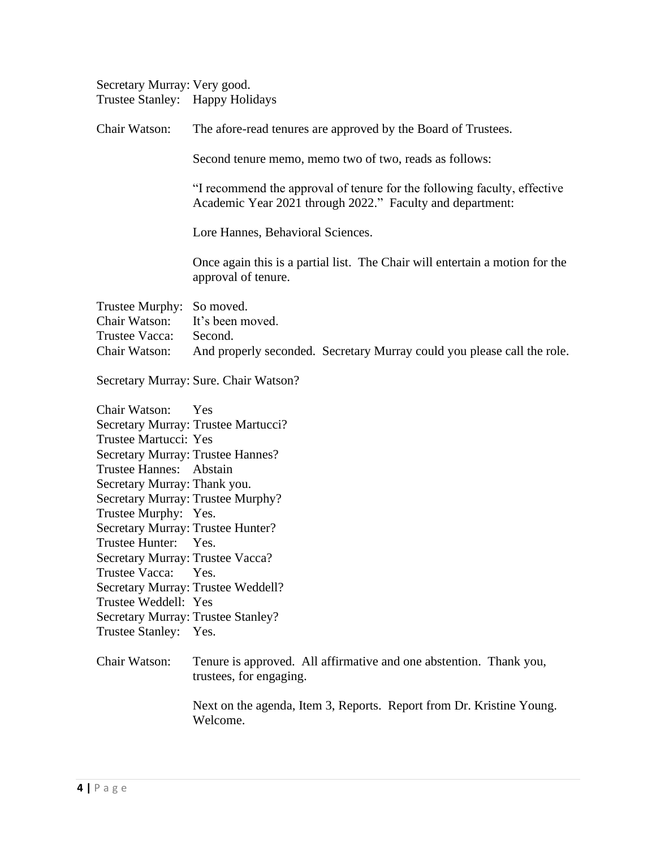| Secretary Murray: Very good.    |  |
|---------------------------------|--|
| Trustee Stanley: Happy Holidays |  |

| Chair Watson:                              | The afore-read tenures are approved by the Board of Trustees.                                                                         |
|--------------------------------------------|---------------------------------------------------------------------------------------------------------------------------------------|
|                                            | Second tenure memo, memo two of two, reads as follows:                                                                                |
|                                            | "I recommend the approval of tenure for the following faculty, effective<br>Academic Year 2021 through 2022." Faculty and department: |
|                                            | Lore Hannes, Behavioral Sciences.                                                                                                     |
|                                            | Once again this is a partial list. The Chair will entertain a motion for the<br>approval of tenure.                                   |
| Trustee Murphy: So moved.<br>Chair Watson: | It's been moved.                                                                                                                      |
| Trustee Vacca:<br>Chair Watson:            | Second.<br>And properly seconded. Secretary Murray could you please call the role.                                                    |
|                                            | Secretary Murray: Sure. Chair Watson?                                                                                                 |
| Chair Watson:                              | Yes                                                                                                                                   |
|                                            | Secretary Murray: Trustee Martucci?                                                                                                   |
| <b>Trustee Martucci: Yes</b>               |                                                                                                                                       |
| Secretary Murray: Trustee Hannes?          |                                                                                                                                       |
| <b>Trustee Hannes:</b>                     | Abstain                                                                                                                               |
| Secretary Murray: Thank you.               |                                                                                                                                       |
| Secretary Murray: Trustee Murphy?          |                                                                                                                                       |
| Trustee Murphy: Yes.                       |                                                                                                                                       |
| Secretary Murray: Trustee Hunter?          |                                                                                                                                       |
| Trustee Hunter: Yes.                       |                                                                                                                                       |
| Secretary Murray: Trustee Vacca?           |                                                                                                                                       |
| Trustee Vacca:                             | Yes.                                                                                                                                  |
|                                            | Secretary Murray: Trustee Weddell?                                                                                                    |
| Trustee Weddell: Yes                       |                                                                                                                                       |
| Secretary Murray: Trustee Stanley?         |                                                                                                                                       |

Trustee Stanley: Yes.

# Chair Watson: Tenure is approved. All affirmative and one abstention. Thank you, trustees, for engaging.

Next on the agenda, Item 3, Reports. Report from Dr. Kristine Young. Welcome.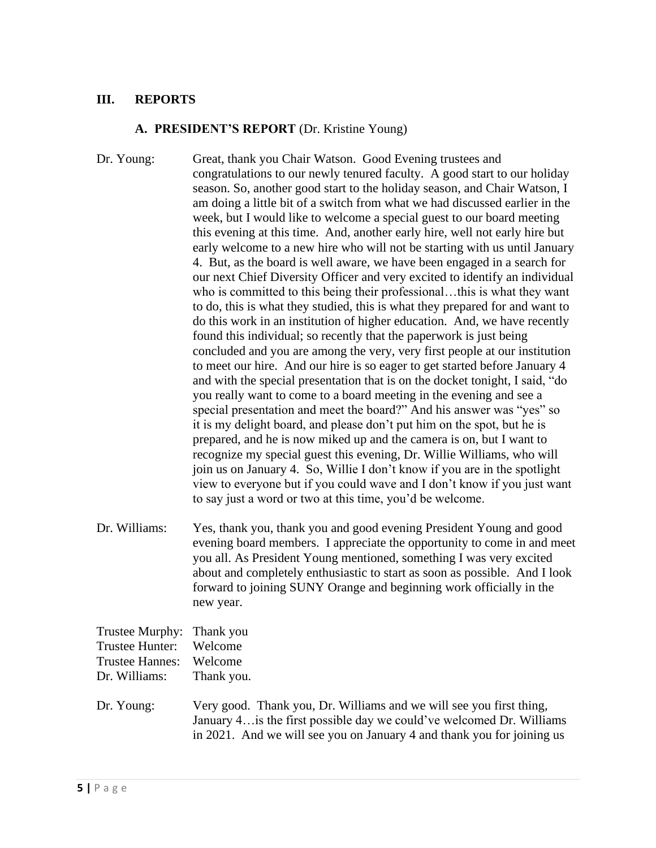# **III. REPORTS**

#### **A. PRESIDENT'S REPORT** (Dr. Kristine Young)

Dr. Young: Great, thank you Chair Watson. Good Evening trustees and congratulations to our newly tenured faculty. A good start to our holiday season. So, another good start to the holiday season, and Chair Watson, I am doing a little bit of a switch from what we had discussed earlier in the week, but I would like to welcome a special guest to our board meeting this evening at this time. And, another early hire, well not early hire but early welcome to a new hire who will not be starting with us until January 4. But, as the board is well aware, we have been engaged in a search for our next Chief Diversity Officer and very excited to identify an individual who is committed to this being their professional…this is what they want to do, this is what they studied, this is what they prepared for and want to do this work in an institution of higher education. And, we have recently found this individual; so recently that the paperwork is just being concluded and you are among the very, very first people at our institution to meet our hire. And our hire is so eager to get started before January 4 and with the special presentation that is on the docket tonight, I said, "do you really want to come to a board meeting in the evening and see a special presentation and meet the board?" And his answer was "yes" so it is my delight board, and please don't put him on the spot, but he is prepared, and he is now miked up and the camera is on, but I want to recognize my special guest this evening, Dr. Willie Williams, who will join us on January 4. So, Willie I don't know if you are in the spotlight view to everyone but if you could wave and I don't know if you just want to say just a word or two at this time, you'd be welcome.

Dr. Williams: Yes, thank you, thank you and good evening President Young and good evening board members. I appreciate the opportunity to come in and meet you all. As President Young mentioned, something I was very excited about and completely enthusiastic to start as soon as possible. And I look forward to joining SUNY Orange and beginning work officially in the new year.

| Trustee Murphy: Thank you<br>Trustee Hunter:<br>Trustee Hannes: Welcome<br>Dr. Williams: | Welcome<br>Thank you.                                                                                                                                                                                                  |
|------------------------------------------------------------------------------------------|------------------------------------------------------------------------------------------------------------------------------------------------------------------------------------------------------------------------|
| Dr. Young:                                                                               | Very good. Thank you, Dr. Williams and we will see you first thing,<br>January 4 is the first possible day we could've welcomed Dr. Williams<br>in 2021. And we will see you on January 4 and thank you for joining us |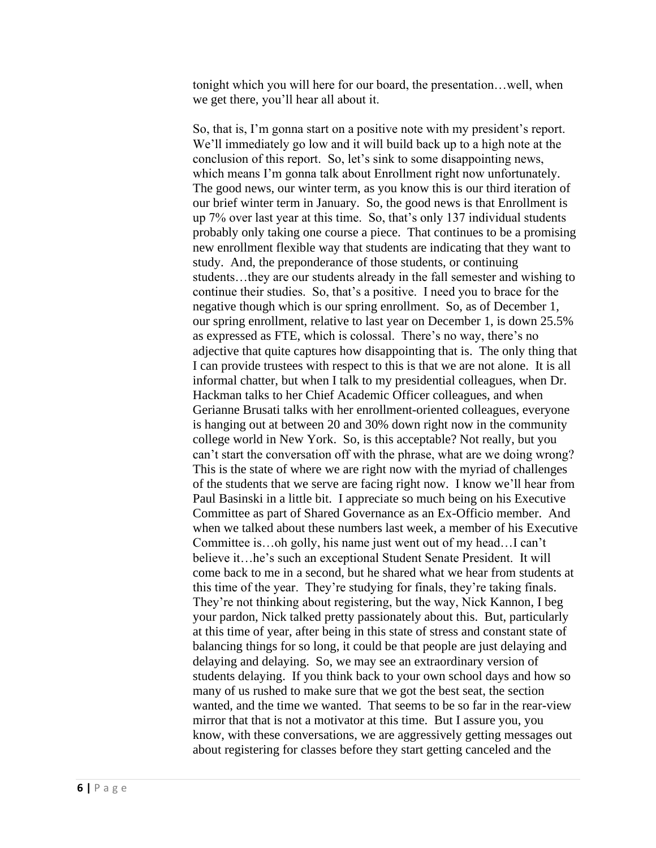tonight which you will here for our board, the presentation…well, when we get there, you'll hear all about it.

So, that is, I'm gonna start on a positive note with my president's report. We'll immediately go low and it will build back up to a high note at the conclusion of this report. So, let's sink to some disappointing news, which means I'm gonna talk about Enrollment right now unfortunately. The good news, our winter term, as you know this is our third iteration of our brief winter term in January. So, the good news is that Enrollment is up 7% over last year at this time. So, that's only 137 individual students probably only taking one course a piece. That continues to be a promising new enrollment flexible way that students are indicating that they want to study. And, the preponderance of those students, or continuing students…they are our students already in the fall semester and wishing to continue their studies. So, that's a positive. I need you to brace for the negative though which is our spring enrollment. So, as of December 1, our spring enrollment, relative to last year on December 1, is down 25.5% as expressed as FTE, which is colossal. There's no way, there's no adjective that quite captures how disappointing that is. The only thing that I can provide trustees with respect to this is that we are not alone. It is all informal chatter, but when I talk to my presidential colleagues, when Dr. Hackman talks to her Chief Academic Officer colleagues, and when Gerianne Brusati talks with her enrollment-oriented colleagues, everyone is hanging out at between 20 and 30% down right now in the community college world in New York. So, is this acceptable? Not really, but you can't start the conversation off with the phrase, what are we doing wrong? This is the state of where we are right now with the myriad of challenges of the students that we serve are facing right now. I know we'll hear from Paul Basinski in a little bit. I appreciate so much being on his Executive Committee as part of Shared Governance as an Ex-Officio member. And when we talked about these numbers last week, a member of his Executive Committee is…oh golly, his name just went out of my head…I can't believe it…he's such an exceptional Student Senate President. It will come back to me in a second, but he shared what we hear from students at this time of the year. They're studying for finals, they're taking finals. They're not thinking about registering, but the way, Nick Kannon, I beg your pardon, Nick talked pretty passionately about this. But, particularly at this time of year, after being in this state of stress and constant state of balancing things for so long, it could be that people are just delaying and delaying and delaying. So, we may see an extraordinary version of students delaying. If you think back to your own school days and how so many of us rushed to make sure that we got the best seat, the section wanted, and the time we wanted. That seems to be so far in the rear-view mirror that that is not a motivator at this time. But I assure you, you know, with these conversations, we are aggressively getting messages out about registering for classes before they start getting canceled and the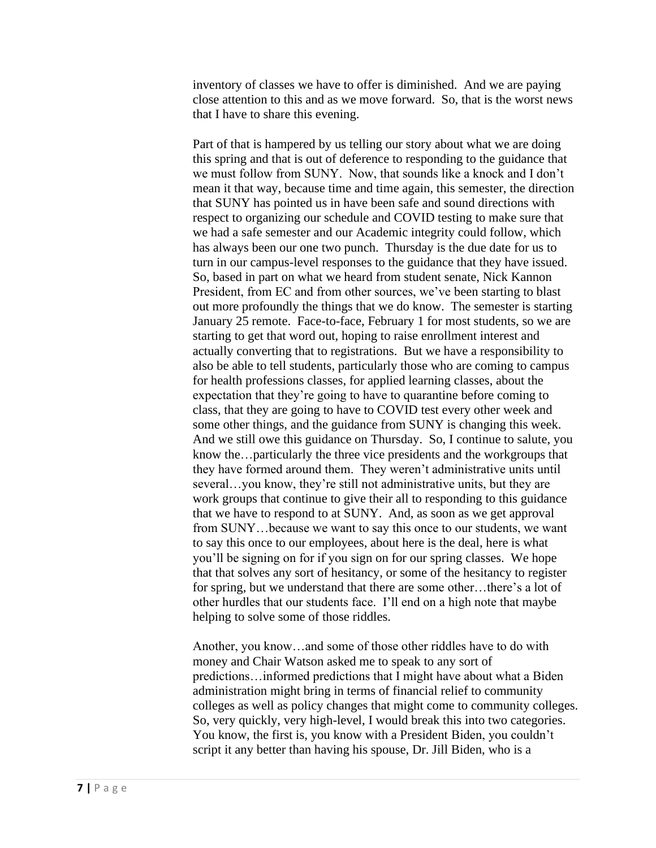inventory of classes we have to offer is diminished. And we are paying close attention to this and as we move forward. So, that is the worst news that I have to share this evening.

Part of that is hampered by us telling our story about what we are doing this spring and that is out of deference to responding to the guidance that we must follow from SUNY. Now, that sounds like a knock and I don't mean it that way, because time and time again, this semester, the direction that SUNY has pointed us in have been safe and sound directions with respect to organizing our schedule and COVID testing to make sure that we had a safe semester and our Academic integrity could follow, which has always been our one two punch. Thursday is the due date for us to turn in our campus-level responses to the guidance that they have issued. So, based in part on what we heard from student senate, Nick Kannon President, from EC and from other sources, we've been starting to blast out more profoundly the things that we do know. The semester is starting January 25 remote. Face-to-face, February 1 for most students, so we are starting to get that word out, hoping to raise enrollment interest and actually converting that to registrations. But we have a responsibility to also be able to tell students, particularly those who are coming to campus for health professions classes, for applied learning classes, about the expectation that they're going to have to quarantine before coming to class, that they are going to have to COVID test every other week and some other things, and the guidance from SUNY is changing this week. And we still owe this guidance on Thursday. So, I continue to salute, you know the…particularly the three vice presidents and the workgroups that they have formed around them. They weren't administrative units until several…you know, they're still not administrative units, but they are work groups that continue to give their all to responding to this guidance that we have to respond to at SUNY. And, as soon as we get approval from SUNY…because we want to say this once to our students, we want to say this once to our employees, about here is the deal, here is what you'll be signing on for if you sign on for our spring classes. We hope that that solves any sort of hesitancy, or some of the hesitancy to register for spring, but we understand that there are some other…there's a lot of other hurdles that our students face. I'll end on a high note that maybe helping to solve some of those riddles.

Another, you know…and some of those other riddles have to do with money and Chair Watson asked me to speak to any sort of predictions…informed predictions that I might have about what a Biden administration might bring in terms of financial relief to community colleges as well as policy changes that might come to community colleges. So, very quickly, very high-level, I would break this into two categories. You know, the first is, you know with a President Biden, you couldn't script it any better than having his spouse, Dr. Jill Biden, who is a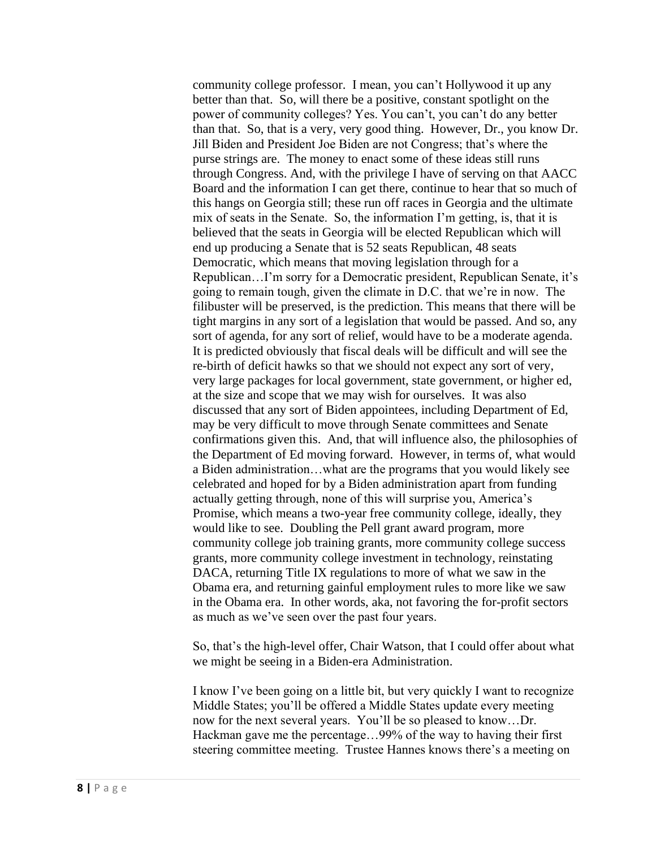community college professor. I mean, you can't Hollywood it up any better than that. So, will there be a positive, constant spotlight on the power of community colleges? Yes. You can't, you can't do any better than that. So, that is a very, very good thing. However, Dr., you know Dr. Jill Biden and President Joe Biden are not Congress; that's where the purse strings are. The money to enact some of these ideas still runs through Congress. And, with the privilege I have of serving on that AACC Board and the information I can get there, continue to hear that so much of this hangs on Georgia still; these run off races in Georgia and the ultimate mix of seats in the Senate. So, the information I'm getting, is, that it is believed that the seats in Georgia will be elected Republican which will end up producing a Senate that is 52 seats Republican, 48 seats Democratic, which means that moving legislation through for a Republican…I'm sorry for a Democratic president, Republican Senate, it's going to remain tough, given the climate in D.C. that we're in now. The filibuster will be preserved, is the prediction. This means that there will be tight margins in any sort of a legislation that would be passed. And so, any sort of agenda, for any sort of relief, would have to be a moderate agenda. It is predicted obviously that fiscal deals will be difficult and will see the re-birth of deficit hawks so that we should not expect any sort of very, very large packages for local government, state government, or higher ed, at the size and scope that we may wish for ourselves. It was also discussed that any sort of Biden appointees, including Department of Ed, may be very difficult to move through Senate committees and Senate confirmations given this. And, that will influence also, the philosophies of the Department of Ed moving forward. However, in terms of, what would a Biden administration…what are the programs that you would likely see celebrated and hoped for by a Biden administration apart from funding actually getting through, none of this will surprise you, America's Promise, which means a two-year free community college, ideally, they would like to see. Doubling the Pell grant award program, more community college job training grants, more community college success grants, more community college investment in technology, reinstating DACA, returning Title IX regulations to more of what we saw in the Obama era, and returning gainful employment rules to more like we saw in the Obama era. In other words, aka, not favoring the for-profit sectors as much as we've seen over the past four years.

So, that's the high-level offer, Chair Watson, that I could offer about what we might be seeing in a Biden-era Administration.

I know I've been going on a little bit, but very quickly I want to recognize Middle States; you'll be offered a Middle States update every meeting now for the next several years. You'll be so pleased to know…Dr. Hackman gave me the percentage…99% of the way to having their first steering committee meeting. Trustee Hannes knows there's a meeting on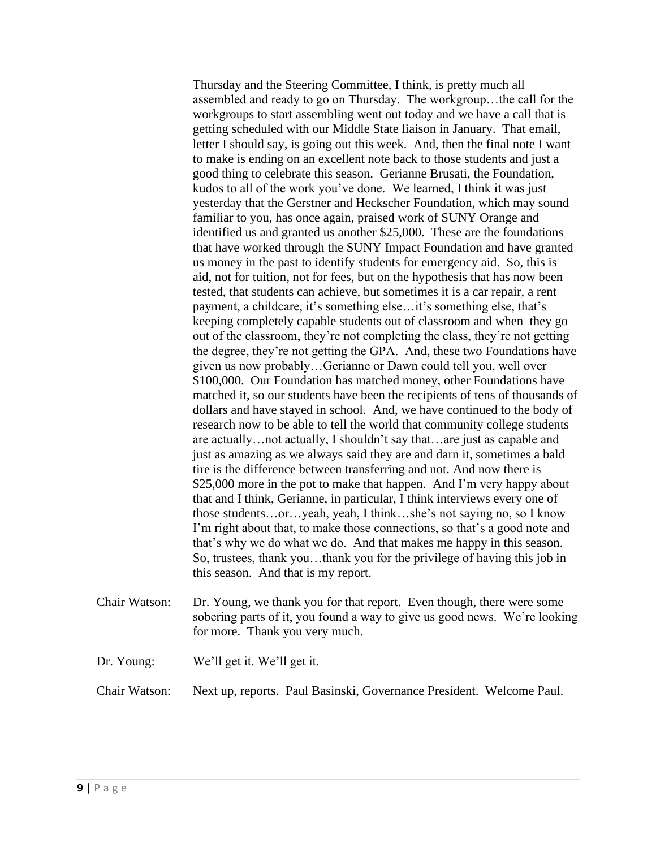Thursday and the Steering Committee, I think, is pretty much all assembled and ready to go on Thursday. The workgroup…the call for the workgroups to start assembling went out today and we have a call that is getting scheduled with our Middle State liaison in January. That email, letter I should say, is going out this week. And, then the final note I want to make is ending on an excellent note back to those students and just a good thing to celebrate this season. Gerianne Brusati, the Foundation, kudos to all of the work you've done. We learned, I think it was just yesterday that the Gerstner and Heckscher Foundation, which may sound familiar to you, has once again, praised work of SUNY Orange and identified us and granted us another \$25,000. These are the foundations that have worked through the SUNY Impact Foundation and have granted us money in the past to identify students for emergency aid. So, this is aid, not for tuition, not for fees, but on the hypothesis that has now been tested, that students can achieve, but sometimes it is a car repair, a rent payment, a childcare, it's something else…it's something else, that's keeping completely capable students out of classroom and when they go out of the classroom, they're not completing the class, they're not getting the degree, they're not getting the GPA. And, these two Foundations have given us now probably…Gerianne or Dawn could tell you, well over \$100,000. Our Foundation has matched money, other Foundations have matched it, so our students have been the recipients of tens of thousands of dollars and have stayed in school. And, we have continued to the body of research now to be able to tell the world that community college students are actually…not actually, I shouldn't say that…are just as capable and just as amazing as we always said they are and darn it, sometimes a bald tire is the difference between transferring and not. And now there is \$25,000 more in the pot to make that happen. And I'm very happy about that and I think, Gerianne, in particular, I think interviews every one of those students…or…yeah, yeah, I think…she's not saying no, so I know I'm right about that, to make those connections, so that's a good note and that's why we do what we do. And that makes me happy in this season. So, trustees, thank you…thank you for the privilege of having this job in this season. And that is my report.

- Chair Watson: Dr. Young, we thank you for that report. Even though, there were some sobering parts of it, you found a way to give us good news. We're looking for more. Thank you very much.
- Dr. Young: We'll get it. We'll get it.
- Chair Watson: Next up, reports. Paul Basinski, Governance President. Welcome Paul.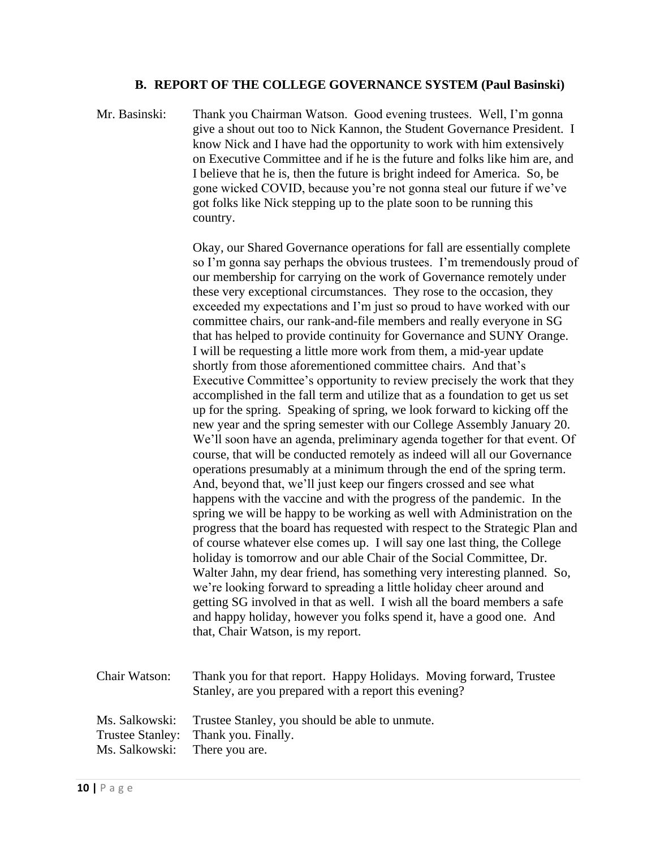#### **B. REPORT OF THE COLLEGE GOVERNANCE SYSTEM (Paul Basinski)**

Mr. Basinski: Thank you Chairman Watson. Good evening trustees. Well, I'm gonna give a shout out too to Nick Kannon, the Student Governance President. I know Nick and I have had the opportunity to work with him extensively on Executive Committee and if he is the future and folks like him are, and I believe that he is, then the future is bright indeed for America. So, be gone wicked COVID, because you're not gonna steal our future if we've got folks like Nick stepping up to the plate soon to be running this country.

> Okay, our Shared Governance operations for fall are essentially complete so I'm gonna say perhaps the obvious trustees. I'm tremendously proud of our membership for carrying on the work of Governance remotely under these very exceptional circumstances. They rose to the occasion, they exceeded my expectations and I'm just so proud to have worked with our committee chairs, our rank-and-file members and really everyone in SG that has helped to provide continuity for Governance and SUNY Orange. I will be requesting a little more work from them, a mid-year update shortly from those aforementioned committee chairs. And that's Executive Committee's opportunity to review precisely the work that they accomplished in the fall term and utilize that as a foundation to get us set up for the spring. Speaking of spring, we look forward to kicking off the new year and the spring semester with our College Assembly January 20. We'll soon have an agenda, preliminary agenda together for that event. Of course, that will be conducted remotely as indeed will all our Governance operations presumably at a minimum through the end of the spring term. And, beyond that, we'll just keep our fingers crossed and see what happens with the vaccine and with the progress of the pandemic. In the spring we will be happy to be working as well with Administration on the progress that the board has requested with respect to the Strategic Plan and of course whatever else comes up. I will say one last thing, the College holiday is tomorrow and our able Chair of the Social Committee, Dr. Walter Jahn, my dear friend, has something very interesting planned. So, we're looking forward to spreading a little holiday cheer around and getting SG involved in that as well. I wish all the board members a safe and happy holiday, however you folks spend it, have a good one. And that, Chair Watson, is my report.

Chair Watson: Thank you for that report. Happy Holidays. Moving forward, Trustee Stanley, are you prepared with a report this evening? Ms. Salkowski: Trustee Stanley, you should be able to unmute. Trustee Stanley: Thank you. Finally. Ms. Salkowski: There you are.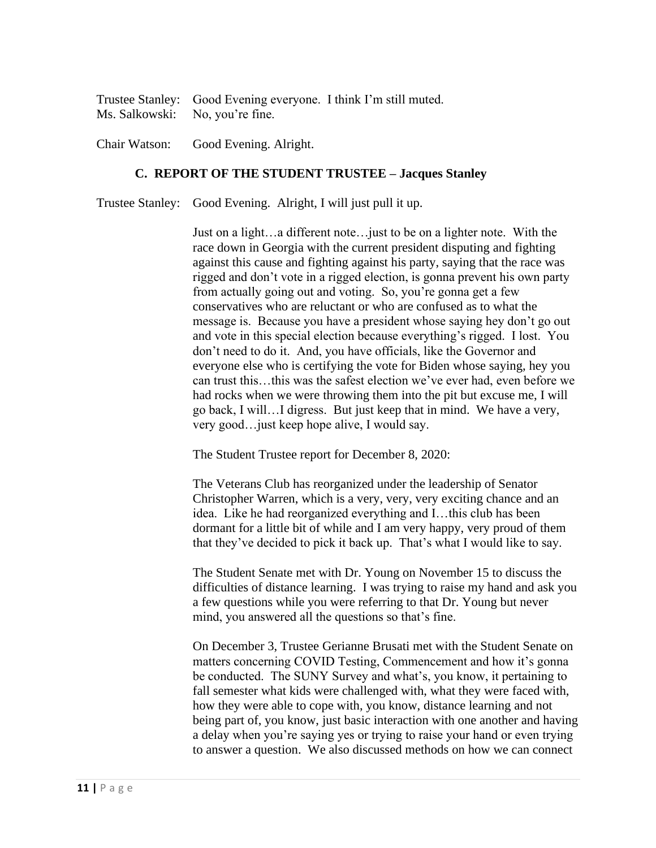|                                 | Trustee Stanley: Good Evening everyone. I think I'm still muted. |  |
|---------------------------------|------------------------------------------------------------------|--|
| Ms. Salkowski: No, you're fine. |                                                                  |  |

Chair Watson: Good Evening. Alright.

#### **C. REPORT OF THE STUDENT TRUSTEE – Jacques Stanley**

Trustee Stanley: Good Evening. Alright, I will just pull it up.

Just on a light…a different note…just to be on a lighter note. With the race down in Georgia with the current president disputing and fighting against this cause and fighting against his party, saying that the race was rigged and don't vote in a rigged election, is gonna prevent his own party from actually going out and voting. So, you're gonna get a few conservatives who are reluctant or who are confused as to what the message is. Because you have a president whose saying hey don't go out and vote in this special election because everything's rigged. I lost. You don't need to do it. And, you have officials, like the Governor and everyone else who is certifying the vote for Biden whose saying, hey you can trust this…this was the safest election we've ever had, even before we had rocks when we were throwing them into the pit but excuse me, I will go back, I will…I digress. But just keep that in mind. We have a very, very good…just keep hope alive, I would say.

The Student Trustee report for December 8, 2020:

The Veterans Club has reorganized under the leadership of Senator Christopher Warren, which is a very, very, very exciting chance and an idea. Like he had reorganized everything and I…this club has been dormant for a little bit of while and I am very happy, very proud of them that they've decided to pick it back up. That's what I would like to say.

The Student Senate met with Dr. Young on November 15 to discuss the difficulties of distance learning. I was trying to raise my hand and ask you a few questions while you were referring to that Dr. Young but never mind, you answered all the questions so that's fine.

On December 3, Trustee Gerianne Brusati met with the Student Senate on matters concerning COVID Testing, Commencement and how it's gonna be conducted. The SUNY Survey and what's, you know, it pertaining to fall semester what kids were challenged with, what they were faced with, how they were able to cope with, you know, distance learning and not being part of, you know, just basic interaction with one another and having a delay when you're saying yes or trying to raise your hand or even trying to answer a question. We also discussed methods on how we can connect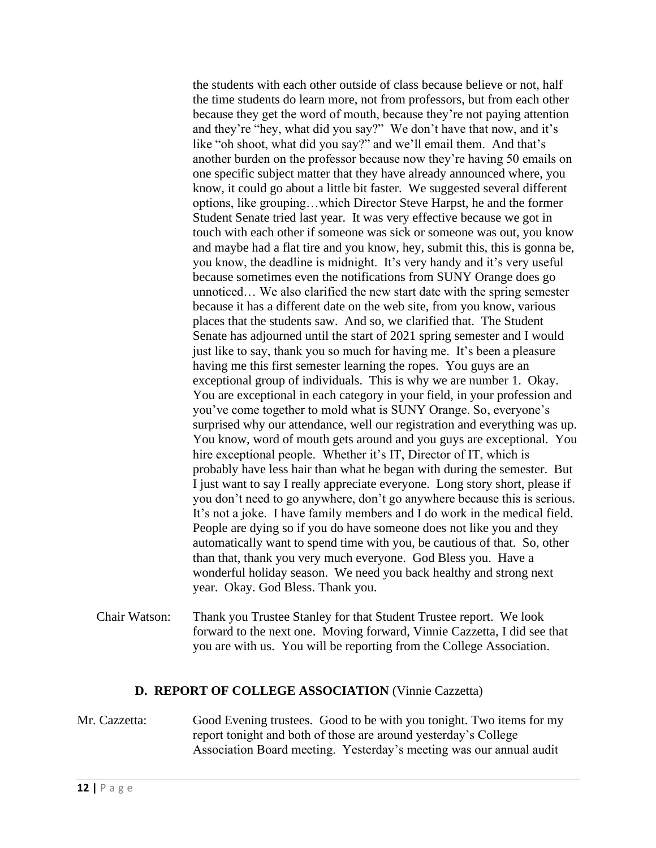the students with each other outside of class because believe or not, half the time students do learn more, not from professors, but from each other because they get the word of mouth, because they're not paying attention and they're "hey, what did you say?" We don't have that now, and it's like "oh shoot, what did you say?" and we'll email them. And that's another burden on the professor because now they're having 50 emails on one specific subject matter that they have already announced where, you know, it could go about a little bit faster. We suggested several different options, like grouping…which Director Steve Harpst, he and the former Student Senate tried last year. It was very effective because we got in touch with each other if someone was sick or someone was out, you know and maybe had a flat tire and you know, hey, submit this, this is gonna be, you know, the deadline is midnight. It's very handy and it's very useful because sometimes even the notifications from SUNY Orange does go unnoticed… We also clarified the new start date with the spring semester because it has a different date on the web site, from you know, various places that the students saw. And so, we clarified that. The Student Senate has adjourned until the start of 2021 spring semester and I would just like to say, thank you so much for having me. It's been a pleasure having me this first semester learning the ropes. You guys are an exceptional group of individuals. This is why we are number 1. Okay. You are exceptional in each category in your field, in your profession and you've come together to mold what is SUNY Orange. So, everyone's surprised why our attendance, well our registration and everything was up. You know, word of mouth gets around and you guys are exceptional. You hire exceptional people. Whether it's IT, Director of IT, which is probably have less hair than what he began with during the semester. But I just want to say I really appreciate everyone. Long story short, please if you don't need to go anywhere, don't go anywhere because this is serious. It's not a joke. I have family members and I do work in the medical field. People are dying so if you do have someone does not like you and they automatically want to spend time with you, be cautious of that. So, other than that, thank you very much everyone. God Bless you. Have a wonderful holiday season. We need you back healthy and strong next year. Okay. God Bless. Thank you.

Chair Watson: Thank you Trustee Stanley for that Student Trustee report. We look forward to the next one. Moving forward, Vinnie Cazzetta, I did see that you are with us. You will be reporting from the College Association.

#### **D. REPORT OF COLLEGE ASSOCIATION** (Vinnie Cazzetta)

Mr. Cazzetta: Good Evening trustees. Good to be with you tonight. Two items for my report tonight and both of those are around yesterday's College Association Board meeting. Yesterday's meeting was our annual audit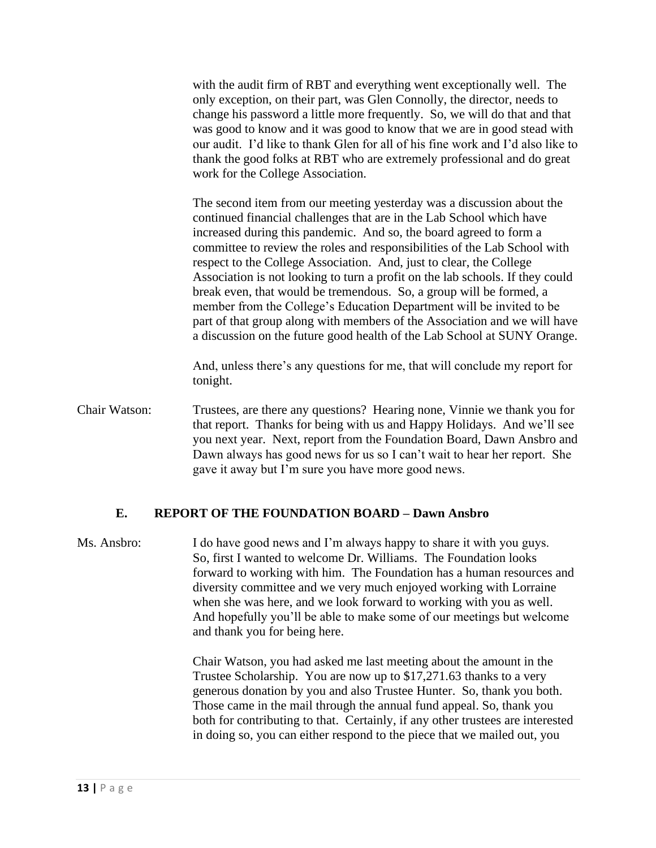with the audit firm of RBT and everything went exceptionally well. The only exception, on their part, was Glen Connolly, the director, needs to change his password a little more frequently. So, we will do that and that was good to know and it was good to know that we are in good stead with our audit. I'd like to thank Glen for all of his fine work and I'd also like to thank the good folks at RBT who are extremely professional and do great work for the College Association.

The second item from our meeting yesterday was a discussion about the continued financial challenges that are in the Lab School which have increased during this pandemic. And so, the board agreed to form a committee to review the roles and responsibilities of the Lab School with respect to the College Association. And, just to clear, the College Association is not looking to turn a profit on the lab schools. If they could break even, that would be tremendous. So, a group will be formed, a member from the College's Education Department will be invited to be part of that group along with members of the Association and we will have a discussion on the future good health of the Lab School at SUNY Orange.

And, unless there's any questions for me, that will conclude my report for tonight.

Chair Watson: Trustees, are there any questions? Hearing none, Vinnie we thank you for that report. Thanks for being with us and Happy Holidays. And we'll see you next year. Next, report from the Foundation Board, Dawn Ansbro and Dawn always has good news for us so I can't wait to hear her report. She gave it away but I'm sure you have more good news.

# **E. REPORT OF THE FOUNDATION BOARD – Dawn Ansbro**

Ms. Ansbro: I do have good news and I'm always happy to share it with you guys. So, first I wanted to welcome Dr. Williams. The Foundation looks forward to working with him. The Foundation has a human resources and diversity committee and we very much enjoyed working with Lorraine when she was here, and we look forward to working with you as well. And hopefully you'll be able to make some of our meetings but welcome and thank you for being here.

> Chair Watson, you had asked me last meeting about the amount in the Trustee Scholarship. You are now up to \$17,271.63 thanks to a very generous donation by you and also Trustee Hunter. So, thank you both. Those came in the mail through the annual fund appeal. So, thank you both for contributing to that. Certainly, if any other trustees are interested in doing so, you can either respond to the piece that we mailed out, you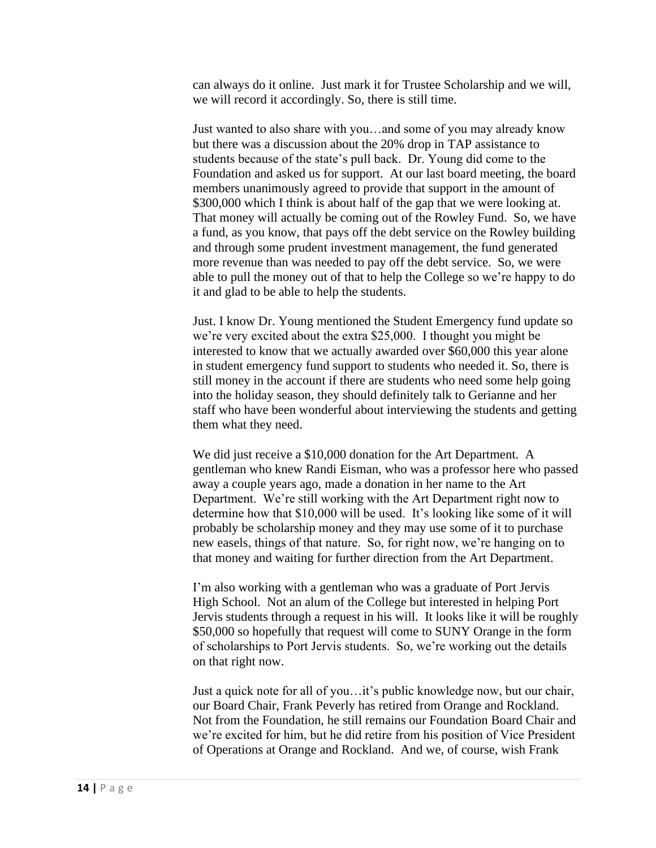can always do it online. Just mark it for Trustee Scholarship and we will, we will record it accordingly. So, there is still time.

Just wanted to also share with you…and some of you may already know but there was a discussion about the 20% drop in TAP assistance to students because of the state's pull back. Dr. Young did come to the Foundation and asked us for support. At our last board meeting, the board members unanimously agreed to provide that support in the amount of \$300,000 which I think is about half of the gap that we were looking at. That money will actually be coming out of the Rowley Fund. So, we have a fund, as you know, that pays off the debt service on the Rowley building and through some prudent investment management, the fund generated more revenue than was needed to pay off the debt service. So, we were able to pull the money out of that to help the College so we're happy to do it and glad to be able to help the students.

Just. I know Dr. Young mentioned the Student Emergency fund update so we're very excited about the extra \$25,000. I thought you might be interested to know that we actually awarded over \$60,000 this year alone in student emergency fund support to students who needed it. So, there is still money in the account if there are students who need some help going into the holiday season, they should definitely talk to Gerianne and her staff who have been wonderful about interviewing the students and getting them what they need.

We did just receive a \$10,000 donation for the Art Department. A gentleman who knew Randi Eisman, who was a professor here who passed away a couple years ago, made a donation in her name to the Art Department. We're still working with the Art Department right now to determine how that \$10,000 will be used. It's looking like some of it will probably be scholarship money and they may use some of it to purchase new easels, things of that nature. So, for right now, we're hanging on to that money and waiting for further direction from the Art Department.

I'm also working with a gentleman who was a graduate of Port Jervis High School. Not an alum of the College but interested in helping Port Jervis students through a request in his will. It looks like it will be roughly \$50,000 so hopefully that request will come to SUNY Orange in the form of scholarships to Port Jervis students. So, we're working out the details on that right now.

Just a quick note for all of you…it's public knowledge now, but our chair, our Board Chair, Frank Peverly has retired from Orange and Rockland. Not from the Foundation, he still remains our Foundation Board Chair and we're excited for him, but he did retire from his position of Vice President of Operations at Orange and Rockland. And we, of course, wish Frank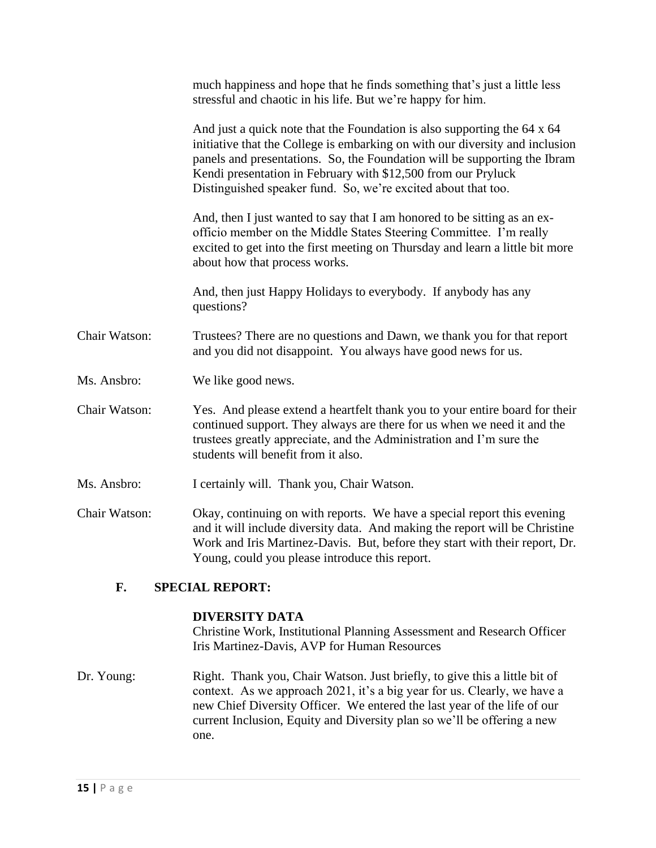| much happiness and hope that he finds something that's just a little less<br>stressful and chaotic in his life. But we're happy for him.                                                                                                                                                                                                                                |
|-------------------------------------------------------------------------------------------------------------------------------------------------------------------------------------------------------------------------------------------------------------------------------------------------------------------------------------------------------------------------|
| And just a quick note that the Foundation is also supporting the 64 x 64<br>initiative that the College is embarking on with our diversity and inclusion<br>panels and presentations. So, the Foundation will be supporting the Ibram<br>Kendi presentation in February with \$12,500 from our Pryluck<br>Distinguished speaker fund. So, we're excited about that too. |
| And, then I just wanted to say that I am honored to be sitting as an ex-<br>officio member on the Middle States Steering Committee. I'm really<br>excited to get into the first meeting on Thursday and learn a little bit more<br>about how that process works.                                                                                                        |
| And, then just Happy Holidays to everybody. If anybody has any<br>questions?                                                                                                                                                                                                                                                                                            |
| Trustees? There are no questions and Dawn, we thank you for that report<br>and you did not disappoint. You always have good news for us.                                                                                                                                                                                                                                |
| We like good news.                                                                                                                                                                                                                                                                                                                                                      |
| Yes. And please extend a heartfelt thank you to your entire board for their<br>continued support. They always are there for us when we need it and the<br>trustees greatly appreciate, and the Administration and I'm sure the<br>students will benefit from it also.                                                                                                   |
| I certainly will. Thank you, Chair Watson.                                                                                                                                                                                                                                                                                                                              |
| Okay, continuing on with reports. We have a special report this evening<br>and it will include diversity data. And making the report will be Christine<br>Work and Iris Martinez-Davis. But, before they start with their report, Dr.<br>Young, could you please introduce this report.                                                                                 |
|                                                                                                                                                                                                                                                                                                                                                                         |

## **F. SPECIAL REPORT:**

#### **DIVERSITY DATA**

Christine Work, Institutional Planning Assessment and Research Officer Iris Martinez-Davis, AVP for Human Resources

Dr. Young: Right. Thank you, Chair Watson. Just briefly, to give this a little bit of context. As we approach 2021, it's a big year for us. Clearly, we have a new Chief Diversity Officer. We entered the last year of the life of our current Inclusion, Equity and Diversity plan so we'll be offering a new one.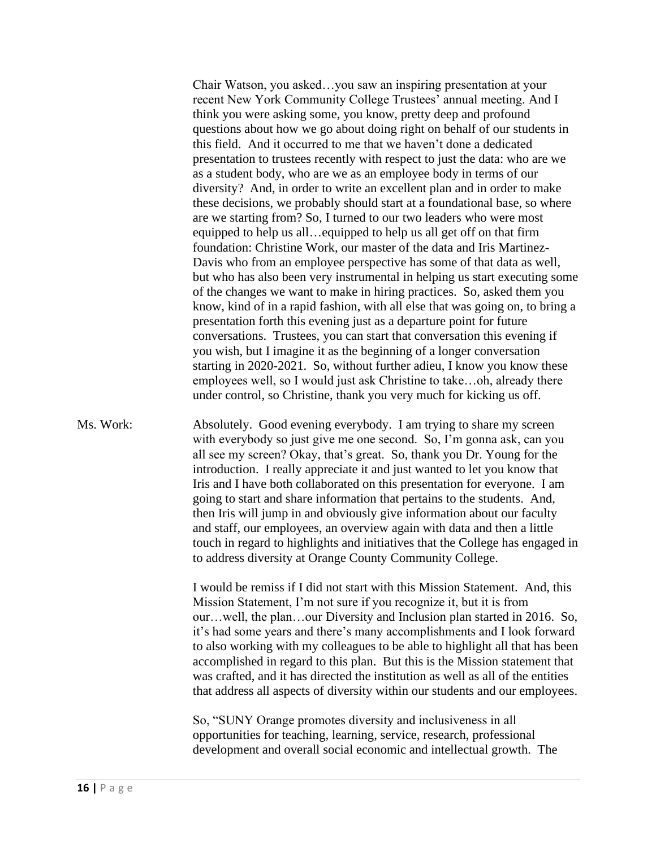Chair Watson, you asked…you saw an inspiring presentation at your recent New York Community College Trustees' annual meeting. And I think you were asking some, you know, pretty deep and profound questions about how we go about doing right on behalf of our students in this field. And it occurred to me that we haven't done a dedicated presentation to trustees recently with respect to just the data: who are we as a student body, who are we as an employee body in terms of our diversity? And, in order to write an excellent plan and in order to make these decisions, we probably should start at a foundational base, so where are we starting from? So, I turned to our two leaders who were most equipped to help us all…equipped to help us all get off on that firm foundation: Christine Work, our master of the data and Iris Martinez-Davis who from an employee perspective has some of that data as well, but who has also been very instrumental in helping us start executing some of the changes we want to make in hiring practices. So, asked them you know, kind of in a rapid fashion, with all else that was going on, to bring a presentation forth this evening just as a departure point for future conversations. Trustees, you can start that conversation this evening if you wish, but I imagine it as the beginning of a longer conversation starting in 2020-2021. So, without further adieu, I know you know these employees well, so I would just ask Christine to take…oh, already there under control, so Christine, thank you very much for kicking us off.

Ms. Work: Absolutely. Good evening everybody. I am trying to share my screen with everybody so just give me one second. So, I'm gonna ask, can you all see my screen? Okay, that's great. So, thank you Dr. Young for the introduction. I really appreciate it and just wanted to let you know that Iris and I have both collaborated on this presentation for everyone. I am going to start and share information that pertains to the students. And, then Iris will jump in and obviously give information about our faculty and staff, our employees, an overview again with data and then a little touch in regard to highlights and initiatives that the College has engaged in to address diversity at Orange County Community College.

> I would be remiss if I did not start with this Mission Statement. And, this Mission Statement, I'm not sure if you recognize it, but it is from our…well, the plan…our Diversity and Inclusion plan started in 2016. So, it's had some years and there's many accomplishments and I look forward to also working with my colleagues to be able to highlight all that has been accomplished in regard to this plan. But this is the Mission statement that was crafted, and it has directed the institution as well as all of the entities that address all aspects of diversity within our students and our employees.

So, "SUNY Orange promotes diversity and inclusiveness in all opportunities for teaching, learning, service, research, professional development and overall social economic and intellectual growth. The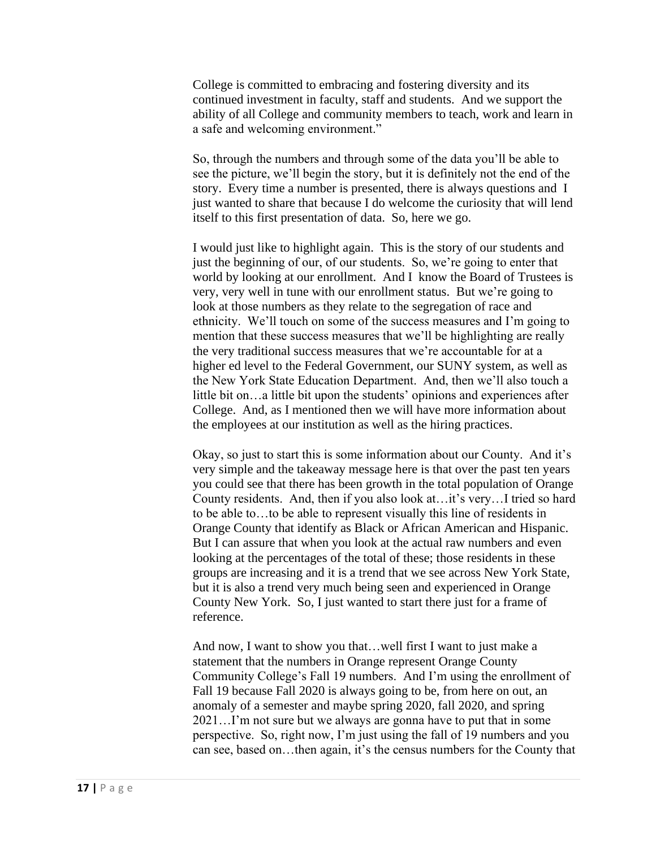College is committed to embracing and fostering diversity and its continued investment in faculty, staff and students. And we support the ability of all College and community members to teach, work and learn in a safe and welcoming environment."

So, through the numbers and through some of the data you'll be able to see the picture, we'll begin the story, but it is definitely not the end of the story. Every time a number is presented, there is always questions and I just wanted to share that because I do welcome the curiosity that will lend itself to this first presentation of data. So, here we go.

I would just like to highlight again. This is the story of our students and just the beginning of our, of our students. So, we're going to enter that world by looking at our enrollment. And I know the Board of Trustees is very, very well in tune with our enrollment status. But we're going to look at those numbers as they relate to the segregation of race and ethnicity. We'll touch on some of the success measures and I'm going to mention that these success measures that we'll be highlighting are really the very traditional success measures that we're accountable for at a higher ed level to the Federal Government, our SUNY system, as well as the New York State Education Department. And, then we'll also touch a little bit on…a little bit upon the students' opinions and experiences after College. And, as I mentioned then we will have more information about the employees at our institution as well as the hiring practices.

Okay, so just to start this is some information about our County. And it's very simple and the takeaway message here is that over the past ten years you could see that there has been growth in the total population of Orange County residents. And, then if you also look at…it's very…I tried so hard to be able to…to be able to represent visually this line of residents in Orange County that identify as Black or African American and Hispanic. But I can assure that when you look at the actual raw numbers and even looking at the percentages of the total of these; those residents in these groups are increasing and it is a trend that we see across New York State, but it is also a trend very much being seen and experienced in Orange County New York. So, I just wanted to start there just for a frame of reference.

And now, I want to show you that…well first I want to just make a statement that the numbers in Orange represent Orange County Community College's Fall 19 numbers. And I'm using the enrollment of Fall 19 because Fall 2020 is always going to be, from here on out, an anomaly of a semester and maybe spring 2020, fall 2020, and spring 2021…I'm not sure but we always are gonna have to put that in some perspective. So, right now, I'm just using the fall of 19 numbers and you can see, based on…then again, it's the census numbers for the County that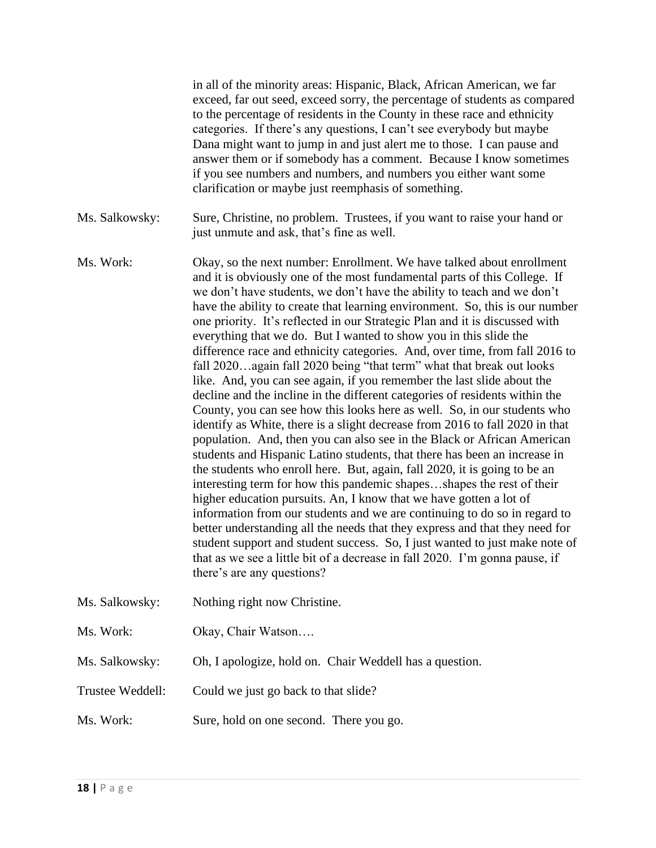|                  | in all of the minority areas: Hispanic, Black, African American, we far<br>exceed, far out seed, exceed sorry, the percentage of students as compared<br>to the percentage of residents in the County in these race and ethnicity<br>categories. If there's any questions, I can't see everybody but maybe<br>Dana might want to jump in and just alert me to those. I can pause and<br>answer them or if somebody has a comment. Because I know sometimes<br>if you see numbers and numbers, and numbers you either want some<br>clarification or maybe just reemphasis of something.                                                                                                                                                                                                                                                                                                                                                                                                                                                                                                                                                                                                                                                                                                                                                                                                                                                                                                                                                                                                                                                                                                    |
|------------------|-------------------------------------------------------------------------------------------------------------------------------------------------------------------------------------------------------------------------------------------------------------------------------------------------------------------------------------------------------------------------------------------------------------------------------------------------------------------------------------------------------------------------------------------------------------------------------------------------------------------------------------------------------------------------------------------------------------------------------------------------------------------------------------------------------------------------------------------------------------------------------------------------------------------------------------------------------------------------------------------------------------------------------------------------------------------------------------------------------------------------------------------------------------------------------------------------------------------------------------------------------------------------------------------------------------------------------------------------------------------------------------------------------------------------------------------------------------------------------------------------------------------------------------------------------------------------------------------------------------------------------------------------------------------------------------------|
| Ms. Salkowsky:   | Sure, Christine, no problem. Trustees, if you want to raise your hand or<br>just unmute and ask, that's fine as well.                                                                                                                                                                                                                                                                                                                                                                                                                                                                                                                                                                                                                                                                                                                                                                                                                                                                                                                                                                                                                                                                                                                                                                                                                                                                                                                                                                                                                                                                                                                                                                     |
| Ms. Work:        | Okay, so the next number: Enrollment. We have talked about enrollment<br>and it is obviously one of the most fundamental parts of this College. If<br>we don't have students, we don't have the ability to teach and we don't<br>have the ability to create that learning environment. So, this is our number<br>one priority. It's reflected in our Strategic Plan and it is discussed with<br>everything that we do. But I wanted to show you in this slide the<br>difference race and ethnicity categories. And, over time, from fall 2016 to<br>fall 2020again fall 2020 being "that term" what that break out looks<br>like. And, you can see again, if you remember the last slide about the<br>decline and the incline in the different categories of residents within the<br>County, you can see how this looks here as well. So, in our students who<br>identify as White, there is a slight decrease from 2016 to fall 2020 in that<br>population. And, then you can also see in the Black or African American<br>students and Hispanic Latino students, that there has been an increase in<br>the students who enroll here. But, again, fall 2020, it is going to be an<br>interesting term for how this pandemic shapesshapes the rest of their<br>higher education pursuits. An, I know that we have gotten a lot of<br>information from our students and we are continuing to do so in regard to<br>better understanding all the needs that they express and that they need for<br>student support and student success. So, I just wanted to just make note of<br>that as we see a little bit of a decrease in fall 2020. I'm gonna pause, if<br>there's are any questions? |
| Ms. Salkowsky:   | Nothing right now Christine.                                                                                                                                                                                                                                                                                                                                                                                                                                                                                                                                                                                                                                                                                                                                                                                                                                                                                                                                                                                                                                                                                                                                                                                                                                                                                                                                                                                                                                                                                                                                                                                                                                                              |
| Ms. Work:        | Okay, Chair Watson                                                                                                                                                                                                                                                                                                                                                                                                                                                                                                                                                                                                                                                                                                                                                                                                                                                                                                                                                                                                                                                                                                                                                                                                                                                                                                                                                                                                                                                                                                                                                                                                                                                                        |
| Ms. Salkowsky:   | Oh, I apologize, hold on. Chair Weddell has a question.                                                                                                                                                                                                                                                                                                                                                                                                                                                                                                                                                                                                                                                                                                                                                                                                                                                                                                                                                                                                                                                                                                                                                                                                                                                                                                                                                                                                                                                                                                                                                                                                                                   |
| Trustee Weddell: | Could we just go back to that slide?                                                                                                                                                                                                                                                                                                                                                                                                                                                                                                                                                                                                                                                                                                                                                                                                                                                                                                                                                                                                                                                                                                                                                                                                                                                                                                                                                                                                                                                                                                                                                                                                                                                      |
| Ms. Work:        | Sure, hold on one second. There you go.                                                                                                                                                                                                                                                                                                                                                                                                                                                                                                                                                                                                                                                                                                                                                                                                                                                                                                                                                                                                                                                                                                                                                                                                                                                                                                                                                                                                                                                                                                                                                                                                                                                   |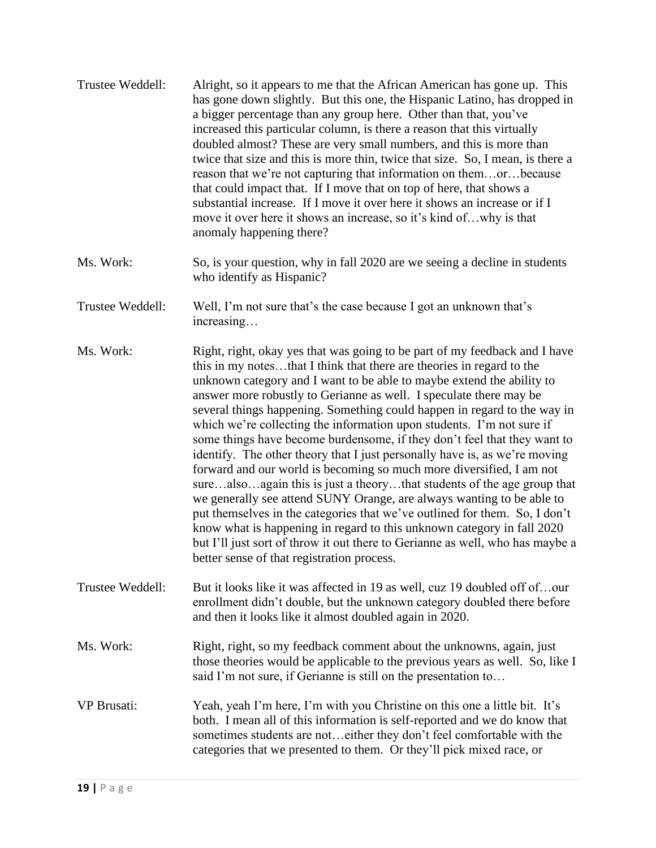| Trustee Weddell: | Alright, so it appears to me that the African American has gone up. This<br>has gone down slightly. But this one, the Hispanic Latino, has dropped in<br>a bigger percentage than any group here. Other than that, you've<br>increased this particular column, is there a reason that this virtually<br>doubled almost? These are very small numbers, and this is more than<br>twice that size and this is more thin, twice that size. So, I mean, is there a<br>reason that we're not capturing that information on themorbecause<br>that could impact that. If I move that on top of here, that shows a<br>substantial increase. If I move it over here it shows an increase or if I<br>move it over here it shows an increase, so it's kind ofwhy is that<br>anomaly happening there? |
|------------------|------------------------------------------------------------------------------------------------------------------------------------------------------------------------------------------------------------------------------------------------------------------------------------------------------------------------------------------------------------------------------------------------------------------------------------------------------------------------------------------------------------------------------------------------------------------------------------------------------------------------------------------------------------------------------------------------------------------------------------------------------------------------------------------|
|------------------|------------------------------------------------------------------------------------------------------------------------------------------------------------------------------------------------------------------------------------------------------------------------------------------------------------------------------------------------------------------------------------------------------------------------------------------------------------------------------------------------------------------------------------------------------------------------------------------------------------------------------------------------------------------------------------------------------------------------------------------------------------------------------------------|

- Ms. Work: So, is your question, why in fall 2020 are we seeing a decline in students who identify as Hispanic?
- Trustee Weddell: Well, I'm not sure that's the case because I got an unknown that's increasing…

Ms. Work: Right, right, okay yes that was going to be part of my feedback and I have this in my notes…that I think that there are theories in regard to the unknown category and I want to be able to maybe extend the ability to answer more robustly to Gerianne as well. I speculate there may be several things happening. Something could happen in regard to the way in which we're collecting the information upon students. I'm not sure if some things have become burdensome, if they don't feel that they want to identify. The other theory that I just personally have is, as we're moving forward and our world is becoming so much more diversified, I am not sure…also…again this is just a theory…that students of the age group that we generally see attend SUNY Orange, are always wanting to be able to put themselves in the categories that we've outlined for them. So, I don't know what is happening in regard to this unknown category in fall 2020 but I'll just sort of throw it out there to Gerianne as well, who has maybe a better sense of that registration process.

- Trustee Weddell: But it looks like it was affected in 19 as well, cuz 19 doubled off of...our enrollment didn't double, but the unknown category doubled there before and then it looks like it almost doubled again in 2020.
- Ms. Work: Right, right, so my feedback comment about the unknowns, again, just those theories would be applicable to the previous years as well. So, like I said I'm not sure, if Gerianne is still on the presentation to…
- VP Brusati: Yeah, yeah I'm here, I'm with you Christine on this one a little bit. It's both. I mean all of this information is self-reported and we do know that sometimes students are not…either they don't feel comfortable with the categories that we presented to them. Or they'll pick mixed race, or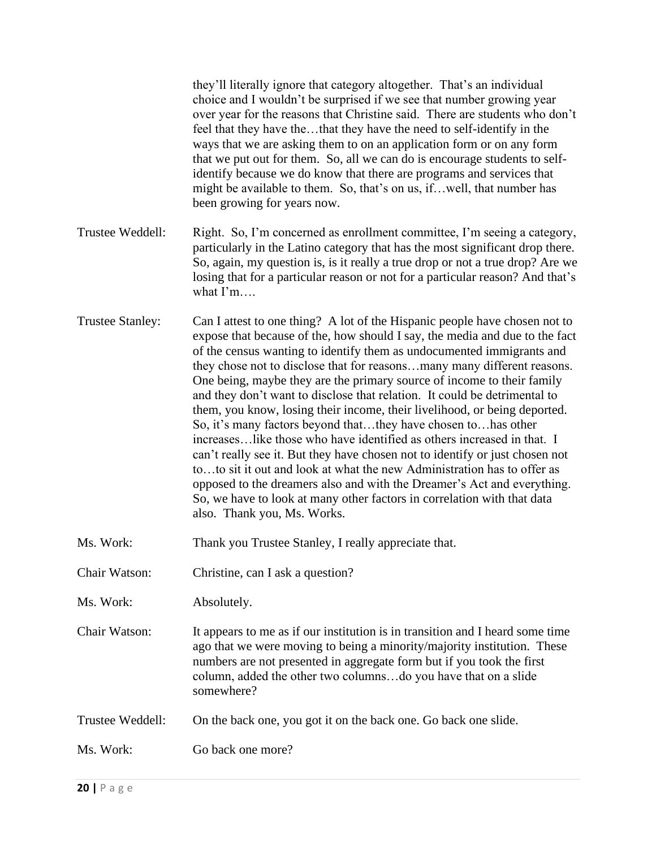|                         | they'll literally ignore that category altogether. That's an individual<br>choice and I wouldn't be surprised if we see that number growing year<br>over year for the reasons that Christine said. There are students who don't<br>feel that they have thethat they have the need to self-identify in the<br>ways that we are asking them to on an application form or on any form<br>that we put out for them. So, all we can do is encourage students to self-<br>identify because we do know that there are programs and services that<br>might be available to them. So, that's on us, ifwell, that number has<br>been growing for years now.                                                                                                                                                                                                                                                                                                                                                                                            |
|-------------------------|----------------------------------------------------------------------------------------------------------------------------------------------------------------------------------------------------------------------------------------------------------------------------------------------------------------------------------------------------------------------------------------------------------------------------------------------------------------------------------------------------------------------------------------------------------------------------------------------------------------------------------------------------------------------------------------------------------------------------------------------------------------------------------------------------------------------------------------------------------------------------------------------------------------------------------------------------------------------------------------------------------------------------------------------|
| Trustee Weddell:        | Right. So, I'm concerned as enrollment committee, I'm seeing a category,<br>particularly in the Latino category that has the most significant drop there.<br>So, again, my question is, is it really a true drop or not a true drop? Are we<br>losing that for a particular reason or not for a particular reason? And that's<br>what $\Gamma$ m                                                                                                                                                                                                                                                                                                                                                                                                                                                                                                                                                                                                                                                                                             |
| <b>Trustee Stanley:</b> | Can I attest to one thing? A lot of the Hispanic people have chosen not to<br>expose that because of the, how should I say, the media and due to the fact<br>of the census wanting to identify them as undocumented immigrants and<br>they chose not to disclose that for reasonsmany many different reasons.<br>One being, maybe they are the primary source of income to their family<br>and they don't want to disclose that relation. It could be detrimental to<br>them, you know, losing their income, their livelihood, or being deported.<br>So, it's many factors beyond thatthey have chosen tohas other<br>increaseslike those who have identified as others increased in that. I<br>can't really see it. But they have chosen not to identify or just chosen not<br>toto sit it out and look at what the new Administration has to offer as<br>opposed to the dreamers also and with the Dreamer's Act and everything.<br>So, we have to look at many other factors in correlation with that data<br>also. Thank you, Ms. Works. |
| Ms. Work:               | Thank you Trustee Stanley, I really appreciate that.                                                                                                                                                                                                                                                                                                                                                                                                                                                                                                                                                                                                                                                                                                                                                                                                                                                                                                                                                                                         |
| Chair Watson:           | Christine, can I ask a question?                                                                                                                                                                                                                                                                                                                                                                                                                                                                                                                                                                                                                                                                                                                                                                                                                                                                                                                                                                                                             |
| Ms. Work:               | Absolutely.                                                                                                                                                                                                                                                                                                                                                                                                                                                                                                                                                                                                                                                                                                                                                                                                                                                                                                                                                                                                                                  |
| Chair Watson:           | It appears to me as if our institution is in transition and I heard some time<br>ago that we were moving to being a minority/majority institution. These<br>numbers are not presented in aggregate form but if you took the first<br>column, added the other two columnsdo you have that on a slide<br>somewhere?                                                                                                                                                                                                                                                                                                                                                                                                                                                                                                                                                                                                                                                                                                                            |
| Trustee Weddell:        | On the back one, you got it on the back one. Go back one slide.                                                                                                                                                                                                                                                                                                                                                                                                                                                                                                                                                                                                                                                                                                                                                                                                                                                                                                                                                                              |
| Ms. Work:               | Go back one more?                                                                                                                                                                                                                                                                                                                                                                                                                                                                                                                                                                                                                                                                                                                                                                                                                                                                                                                                                                                                                            |
|                         |                                                                                                                                                                                                                                                                                                                                                                                                                                                                                                                                                                                                                                                                                                                                                                                                                                                                                                                                                                                                                                              |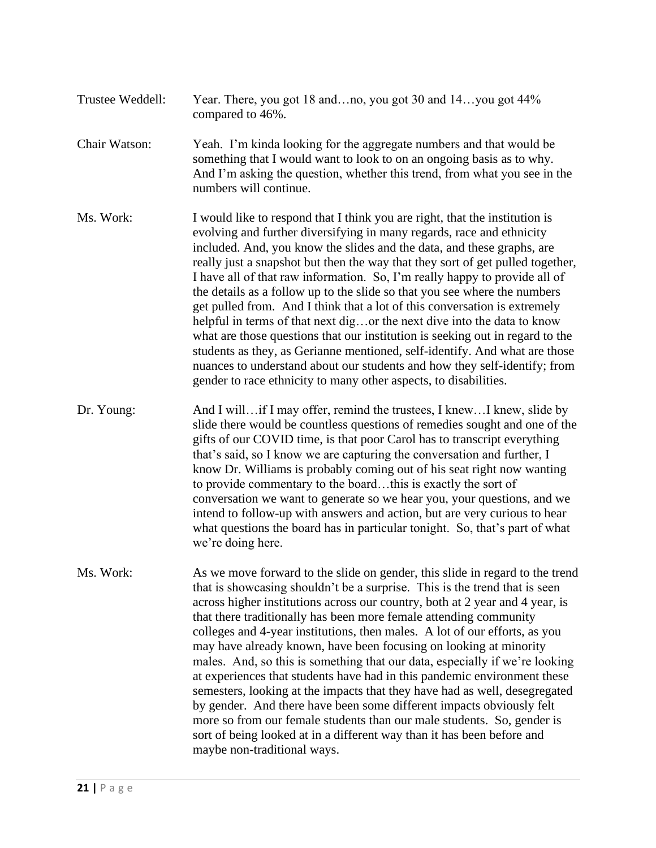- Trustee Weddell: Year. There, you got 18 and…no, you got 30 and 14…you got 44% compared to 46%.
- Chair Watson: Yeah. I'm kinda looking for the aggregate numbers and that would be something that I would want to look to on an ongoing basis as to why. And I'm asking the question, whether this trend, from what you see in the numbers will continue.
- Ms. Work: I would like to respond that I think you are right, that the institution is evolving and further diversifying in many regards, race and ethnicity included. And, you know the slides and the data, and these graphs, are really just a snapshot but then the way that they sort of get pulled together, I have all of that raw information. So, I'm really happy to provide all of the details as a follow up to the slide so that you see where the numbers get pulled from. And I think that a lot of this conversation is extremely helpful in terms of that next dig…or the next dive into the data to know what are those questions that our institution is seeking out in regard to the students as they, as Gerianne mentioned, self-identify. And what are those nuances to understand about our students and how they self-identify; from gender to race ethnicity to many other aspects, to disabilities.
- Dr. Young: And I will…if I may offer, remind the trustees, I knew…I knew, slide by slide there would be countless questions of remedies sought and one of the gifts of our COVID time, is that poor Carol has to transcript everything that's said, so I know we are capturing the conversation and further, I know Dr. Williams is probably coming out of his seat right now wanting to provide commentary to the board…this is exactly the sort of conversation we want to generate so we hear you, your questions, and we intend to follow-up with answers and action, but are very curious to hear what questions the board has in particular tonight. So, that's part of what we're doing here.
- Ms. Work: As we move forward to the slide on gender, this slide in regard to the trend that is showcasing shouldn't be a surprise. This is the trend that is seen across higher institutions across our country, both at 2 year and 4 year, is that there traditionally has been more female attending community colleges and 4-year institutions, then males. A lot of our efforts, as you may have already known, have been focusing on looking at minority males. And, so this is something that our data, especially if we're looking at experiences that students have had in this pandemic environment these semesters, looking at the impacts that they have had as well, desegregated by gender. And there have been some different impacts obviously felt more so from our female students than our male students. So, gender is sort of being looked at in a different way than it has been before and maybe non-traditional ways.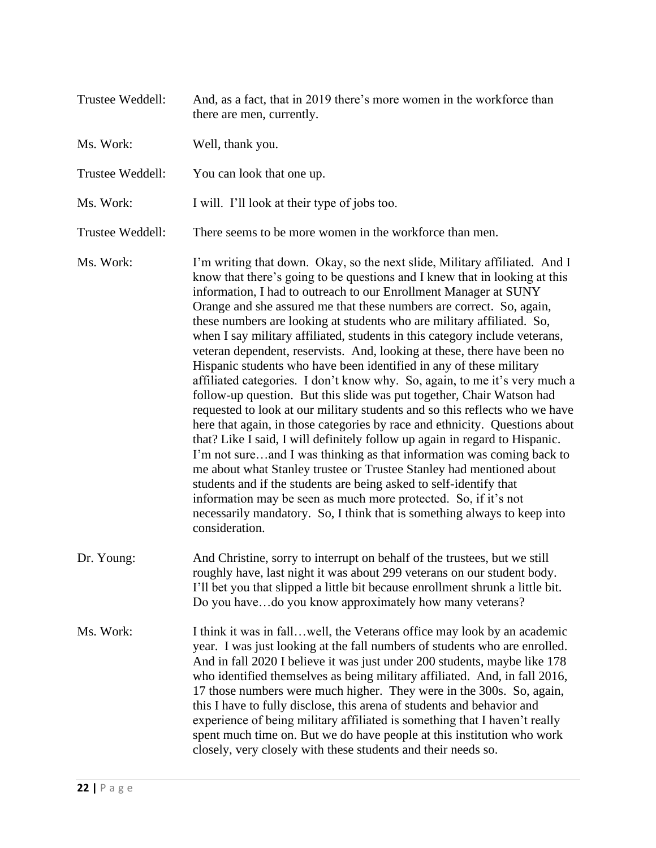| Trustee Weddell: | And, as a fact, that in 2019 there's more women in the workforce than<br>there are men, currently.                                                                                                                                                                                                                                                                                                                                                                                                                                                                                                                                                                                                                                                                                                                                                                                                                                                                                                                                                                                                                                                                                                                                                                                                                                                                                                           |
|------------------|--------------------------------------------------------------------------------------------------------------------------------------------------------------------------------------------------------------------------------------------------------------------------------------------------------------------------------------------------------------------------------------------------------------------------------------------------------------------------------------------------------------------------------------------------------------------------------------------------------------------------------------------------------------------------------------------------------------------------------------------------------------------------------------------------------------------------------------------------------------------------------------------------------------------------------------------------------------------------------------------------------------------------------------------------------------------------------------------------------------------------------------------------------------------------------------------------------------------------------------------------------------------------------------------------------------------------------------------------------------------------------------------------------------|
| Ms. Work:        | Well, thank you.                                                                                                                                                                                                                                                                                                                                                                                                                                                                                                                                                                                                                                                                                                                                                                                                                                                                                                                                                                                                                                                                                                                                                                                                                                                                                                                                                                                             |
| Trustee Weddell: | You can look that one up.                                                                                                                                                                                                                                                                                                                                                                                                                                                                                                                                                                                                                                                                                                                                                                                                                                                                                                                                                                                                                                                                                                                                                                                                                                                                                                                                                                                    |
| Ms. Work:        | I will. I'll look at their type of jobs too.                                                                                                                                                                                                                                                                                                                                                                                                                                                                                                                                                                                                                                                                                                                                                                                                                                                                                                                                                                                                                                                                                                                                                                                                                                                                                                                                                                 |
| Trustee Weddell: | There seems to be more women in the workforce than men.                                                                                                                                                                                                                                                                                                                                                                                                                                                                                                                                                                                                                                                                                                                                                                                                                                                                                                                                                                                                                                                                                                                                                                                                                                                                                                                                                      |
| Ms. Work:        | I'm writing that down. Okay, so the next slide, Military affiliated. And I<br>know that there's going to be questions and I knew that in looking at this<br>information, I had to outreach to our Enrollment Manager at SUNY<br>Orange and she assured me that these numbers are correct. So, again,<br>these numbers are looking at students who are military affiliated. So,<br>when I say military affiliated, students in this category include veterans,<br>veteran dependent, reservists. And, looking at these, there have been no<br>Hispanic students who have been identified in any of these military<br>affiliated categories. I don't know why. So, again, to me it's very much a<br>follow-up question. But this slide was put together, Chair Watson had<br>requested to look at our military students and so this reflects who we have<br>here that again, in those categories by race and ethnicity. Questions about<br>that? Like I said, I will definitely follow up again in regard to Hispanic.<br>I'm not sureand I was thinking as that information was coming back to<br>me about what Stanley trustee or Trustee Stanley had mentioned about<br>students and if the students are being asked to self-identify that<br>information may be seen as much more protected. So, if it's not<br>necessarily mandatory. So, I think that is something always to keep into<br>consideration. |
| Dr. Young:       | And Christine, sorry to interrupt on behalf of the trustees, but we still<br>roughly have, last night it was about 299 veterans on our student body.<br>I'll bet you that slipped a little bit because enrollment shrunk a little bit.<br>Do you havedo you know approximately how many veterans?                                                                                                                                                                                                                                                                                                                                                                                                                                                                                                                                                                                                                                                                                                                                                                                                                                                                                                                                                                                                                                                                                                            |
| Ms. Work:        | I think it was in fall well, the Veterans office may look by an academic<br>year. I was just looking at the fall numbers of students who are enrolled.<br>And in fall 2020 I believe it was just under 200 students, maybe like 178<br>who identified themselves as being military affiliated. And, in fall 2016,<br>17 those numbers were much higher. They were in the 300s. So, again,<br>this I have to fully disclose, this arena of students and behavior and<br>experience of being military affiliated is something that I haven't really<br>spent much time on. But we do have people at this institution who work<br>closely, very closely with these students and their needs so.                                                                                                                                                                                                                                                                                                                                                                                                                                                                                                                                                                                                                                                                                                                 |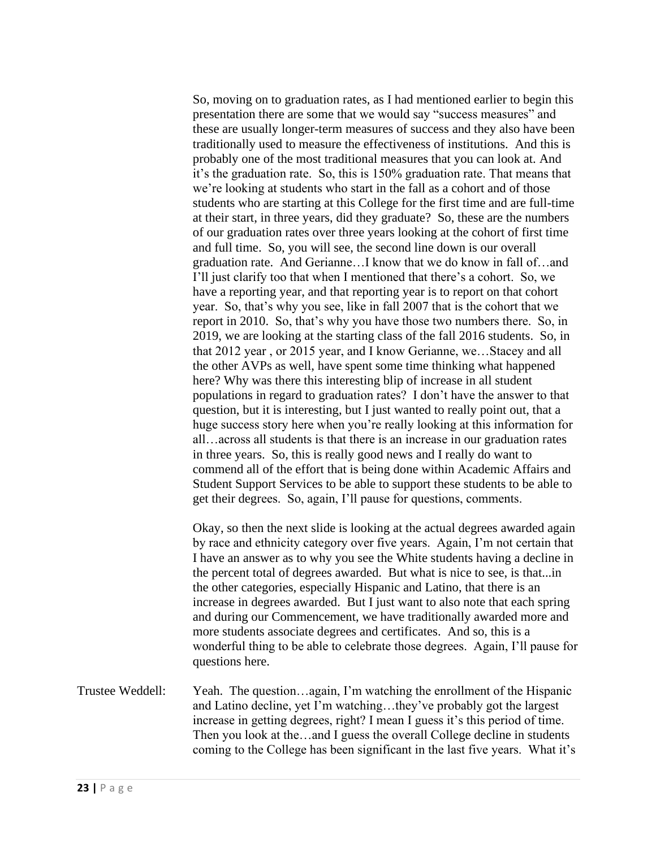So, moving on to graduation rates, as I had mentioned earlier to begin this presentation there are some that we would say "success measures" and these are usually longer-term measures of success and they also have been traditionally used to measure the effectiveness of institutions. And this is probably one of the most traditional measures that you can look at. And it's the graduation rate. So, this is 150% graduation rate. That means that we're looking at students who start in the fall as a cohort and of those students who are starting at this College for the first time and are full-time at their start, in three years, did they graduate? So, these are the numbers of our graduation rates over three years looking at the cohort of first time and full time. So, you will see, the second line down is our overall graduation rate. And Gerianne…I know that we do know in fall of…and I'll just clarify too that when I mentioned that there's a cohort. So, we have a reporting year, and that reporting year is to report on that cohort year. So, that's why you see, like in fall 2007 that is the cohort that we report in 2010. So, that's why you have those two numbers there. So, in 2019, we are looking at the starting class of the fall 2016 students. So, in that 2012 year , or 2015 year, and I know Gerianne, we…Stacey and all the other AVPs as well, have spent some time thinking what happened here? Why was there this interesting blip of increase in all student populations in regard to graduation rates? I don't have the answer to that question, but it is interesting, but I just wanted to really point out, that a huge success story here when you're really looking at this information for all…across all students is that there is an increase in our graduation rates in three years. So, this is really good news and I really do want to commend all of the effort that is being done within Academic Affairs and Student Support Services to be able to support these students to be able to get their degrees. So, again, I'll pause for questions, comments.

Okay, so then the next slide is looking at the actual degrees awarded again by race and ethnicity category over five years. Again, I'm not certain that I have an answer as to why you see the White students having a decline in the percent total of degrees awarded. But what is nice to see, is that...in the other categories, especially Hispanic and Latino, that there is an increase in degrees awarded. But I just want to also note that each spring and during our Commencement, we have traditionally awarded more and more students associate degrees and certificates. And so, this is a wonderful thing to be able to celebrate those degrees. Again, I'll pause for questions here.

Trustee Weddell: Yeah. The question…again, I'm watching the enrollment of the Hispanic and Latino decline, yet I'm watching…they've probably got the largest increase in getting degrees, right? I mean I guess it's this period of time. Then you look at the…and I guess the overall College decline in students coming to the College has been significant in the last five years. What it's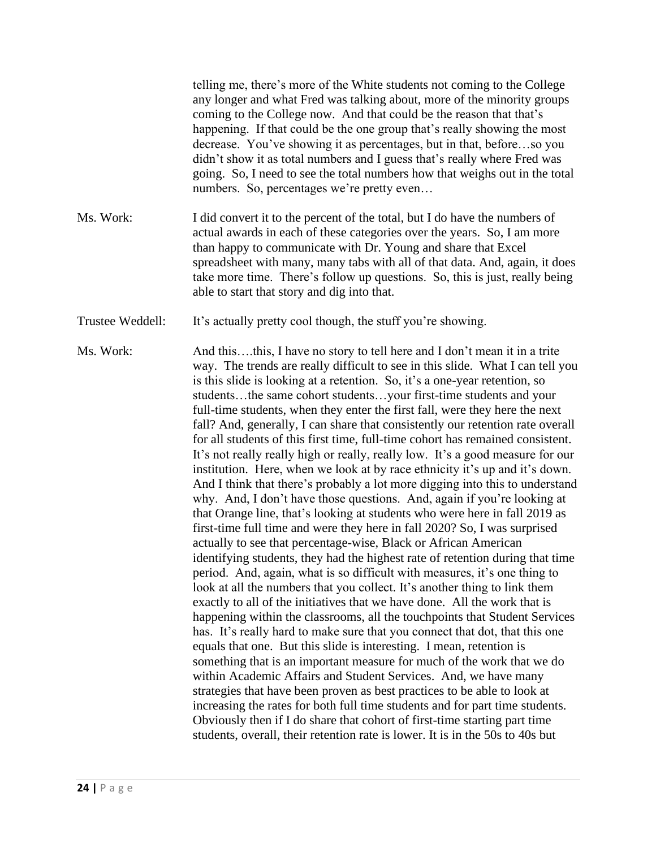| Ms. Work:<br>I did convert it to the percent of the total, but I do have the numbers of<br>actual awards in each of these categories over the years. So, I am more<br>than happy to communicate with Dr. Young and share that Excel<br>take more time. There's follow up questions. So, this is just, really being<br>able to start that story and dig into that.<br>It's actually pretty cool though, the stuff you're showing.<br>Trustee Weddell:<br>Ms. Work:<br>And thisthis, I have no story to tell here and I don't mean it in a trite<br>is this slide is looking at a retention. So, it's a one-year retention, so<br>studentsthe same cohort studentsyour first-time students and your<br>full-time students, when they enter the first fall, were they here the next<br>for all students of this first time, full-time cohort has remained consistent.<br>institution. Here, when we look at by race ethnicity it's up and it's down.<br>why. And, I don't have those questions. And, again if you're looking at<br>that Orange line, that's looking at students who were here in fall 2019 as<br>first-time full time and were they here in fall 2020? So, I was surprised<br>actually to see that percentage-wise, Black or African American<br>period. And, again, what is so difficult with measures, it's one thing to<br>look at all the numbers that you collect. It's another thing to link them<br>exactly to all of the initiatives that we have done. All the work that is<br>has. It's really hard to make sure that you connect that dot, that this one<br>equals that one. But this slide is interesting. I mean, retention is<br>something that is an important measure for much of the work that we do<br>within Academic Affairs and Student Services. And, we have many<br>strategies that have been proven as best practices to be able to look at<br>increasing the rates for both full time students and for part time students.<br>Obviously then if I do share that cohort of first-time starting part time<br>students, overall, their retention rate is lower. It is in the 50s to 40s but | telling me, there's more of the White students not coming to the College<br>any longer and what Fred was talking about, more of the minority groups<br>coming to the College now. And that could be the reason that that's<br>happening. If that could be the one group that's really showing the most<br>decrease. You've showing it as percentages, but in that, beforeso you<br>didn't show it as total numbers and I guess that's really where Fred was<br>going. So, I need to see the total numbers how that weighs out in the total<br>numbers. So, percentages we're pretty even |
|---------------------------------------------------------------------------------------------------------------------------------------------------------------------------------------------------------------------------------------------------------------------------------------------------------------------------------------------------------------------------------------------------------------------------------------------------------------------------------------------------------------------------------------------------------------------------------------------------------------------------------------------------------------------------------------------------------------------------------------------------------------------------------------------------------------------------------------------------------------------------------------------------------------------------------------------------------------------------------------------------------------------------------------------------------------------------------------------------------------------------------------------------------------------------------------------------------------------------------------------------------------------------------------------------------------------------------------------------------------------------------------------------------------------------------------------------------------------------------------------------------------------------------------------------------------------------------------------------------------------------------------------------------------------------------------------------------------------------------------------------------------------------------------------------------------------------------------------------------------------------------------------------------------------------------------------------------------------------------------------------------------------------------------------------------------------------------------------------------------------------------|------------------------------------------------------------------------------------------------------------------------------------------------------------------------------------------------------------------------------------------------------------------------------------------------------------------------------------------------------------------------------------------------------------------------------------------------------------------------------------------------------------------------------------------------------------------------------------------|
|                                                                                                                                                                                                                                                                                                                                                                                                                                                                                                                                                                                                                                                                                                                                                                                                                                                                                                                                                                                                                                                                                                                                                                                                                                                                                                                                                                                                                                                                                                                                                                                                                                                                                                                                                                                                                                                                                                                                                                                                                                                                                                                                 | spreadsheet with many, many tabs with all of that data. And, again, it does                                                                                                                                                                                                                                                                                                                                                                                                                                                                                                              |
|                                                                                                                                                                                                                                                                                                                                                                                                                                                                                                                                                                                                                                                                                                                                                                                                                                                                                                                                                                                                                                                                                                                                                                                                                                                                                                                                                                                                                                                                                                                                                                                                                                                                                                                                                                                                                                                                                                                                                                                                                                                                                                                                 |                                                                                                                                                                                                                                                                                                                                                                                                                                                                                                                                                                                          |
|                                                                                                                                                                                                                                                                                                                                                                                                                                                                                                                                                                                                                                                                                                                                                                                                                                                                                                                                                                                                                                                                                                                                                                                                                                                                                                                                                                                                                                                                                                                                                                                                                                                                                                                                                                                                                                                                                                                                                                                                                                                                                                                                 | way. The trends are really difficult to see in this slide. What I can tell you<br>fall? And, generally, I can share that consistently our retention rate overall<br>It's not really really high or really, really low. It's a good measure for our<br>And I think that there's probably a lot more digging into this to understand<br>identifying students, they had the highest rate of retention during that time<br>happening within the classrooms, all the touchpoints that Student Services                                                                                        |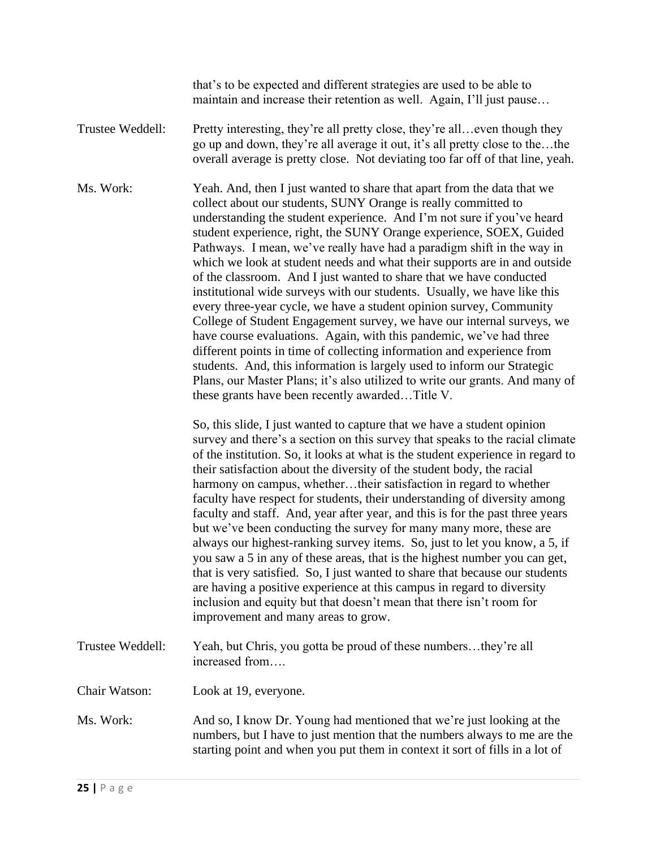that's to be expected and different strategies are used to be able to maintain and increase their retention as well. Again, I'll just pause…

Trustee Weddell: Pretty interesting, they're all pretty close, they're all... even though they go up and down, they're all average it out, it's all pretty close to the…the overall average is pretty close. Not deviating too far off of that line, yeah.

Ms. Work: Yeah. And, then I just wanted to share that apart from the data that we collect about our students, SUNY Orange is really committed to understanding the student experience. And I'm not sure if you've heard student experience, right, the SUNY Orange experience, SOEX, Guided Pathways. I mean, we've really have had a paradigm shift in the way in which we look at student needs and what their supports are in and outside of the classroom. And I just wanted to share that we have conducted institutional wide surveys with our students. Usually, we have like this every three-year cycle, we have a student opinion survey, Community College of Student Engagement survey, we have our internal surveys, we have course evaluations. Again, with this pandemic, we've had three different points in time of collecting information and experience from students. And, this information is largely used to inform our Strategic Plans, our Master Plans; it's also utilized to write our grants. And many of these grants have been recently awarded…Title V.

> So, this slide, I just wanted to capture that we have a student opinion survey and there's a section on this survey that speaks to the racial climate of the institution. So, it looks at what is the student experience in regard to their satisfaction about the diversity of the student body, the racial harmony on campus, whether…their satisfaction in regard to whether faculty have respect for students, their understanding of diversity among faculty and staff. And, year after year, and this is for the past three years but we've been conducting the survey for many many more, these are always our highest-ranking survey items. So, just to let you know, a 5, if you saw a 5 in any of these areas, that is the highest number you can get, that is very satisfied. So, I just wanted to share that because our students are having a positive experience at this campus in regard to diversity inclusion and equity but that doesn't mean that there isn't room for improvement and many areas to grow.

Trustee Weddell: Yeah, but Chris, you gotta be proud of these numbers…they're all increased from….

Chair Watson: Look at 19, everyone.

Ms. Work: And so, I know Dr. Young had mentioned that we're just looking at the numbers, but I have to just mention that the numbers always to me are the starting point and when you put them in context it sort of fills in a lot of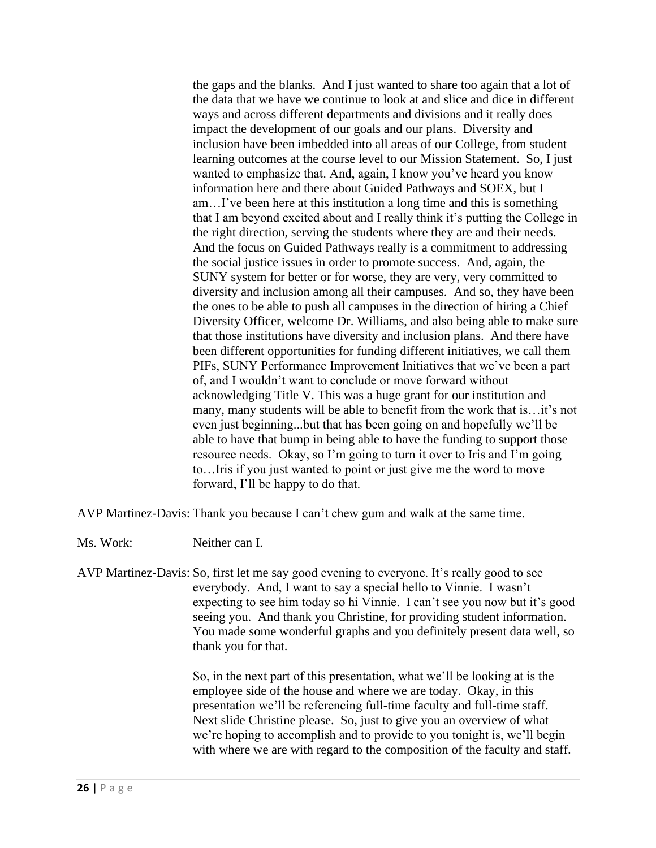the gaps and the blanks. And I just wanted to share too again that a lot of the data that we have we continue to look at and slice and dice in different ways and across different departments and divisions and it really does impact the development of our goals and our plans. Diversity and inclusion have been imbedded into all areas of our College, from student learning outcomes at the course level to our Mission Statement. So, I just wanted to emphasize that. And, again, I know you've heard you know information here and there about Guided Pathways and SOEX, but I am…I've been here at this institution a long time and this is something that I am beyond excited about and I really think it's putting the College in the right direction, serving the students where they are and their needs. And the focus on Guided Pathways really is a commitment to addressing the social justice issues in order to promote success. And, again, the SUNY system for better or for worse, they are very, very committed to diversity and inclusion among all their campuses. And so, they have been the ones to be able to push all campuses in the direction of hiring a Chief Diversity Officer, welcome Dr. Williams, and also being able to make sure that those institutions have diversity and inclusion plans. And there have been different opportunities for funding different initiatives, we call them PIFs, SUNY Performance Improvement Initiatives that we've been a part of, and I wouldn't want to conclude or move forward without acknowledging Title V. This was a huge grant for our institution and many, many students will be able to benefit from the work that is…it's not even just beginning...but that has been going on and hopefully we'll be able to have that bump in being able to have the funding to support those resource needs. Okay, so I'm going to turn it over to Iris and I'm going to…Iris if you just wanted to point or just give me the word to move forward, I'll be happy to do that.

AVP Martinez-Davis: Thank you because I can't chew gum and walk at the same time.

Ms. Work: Neither can I.

AVP Martinez-Davis: So, first let me say good evening to everyone. It's really good to see everybody. And, I want to say a special hello to Vinnie. I wasn't expecting to see him today so hi Vinnie. I can't see you now but it's good seeing you. And thank you Christine, for providing student information. You made some wonderful graphs and you definitely present data well, so thank you for that.

> So, in the next part of this presentation, what we'll be looking at is the employee side of the house and where we are today. Okay, in this presentation we'll be referencing full-time faculty and full-time staff. Next slide Christine please. So, just to give you an overview of what we're hoping to accomplish and to provide to you tonight is, we'll begin with where we are with regard to the composition of the faculty and staff.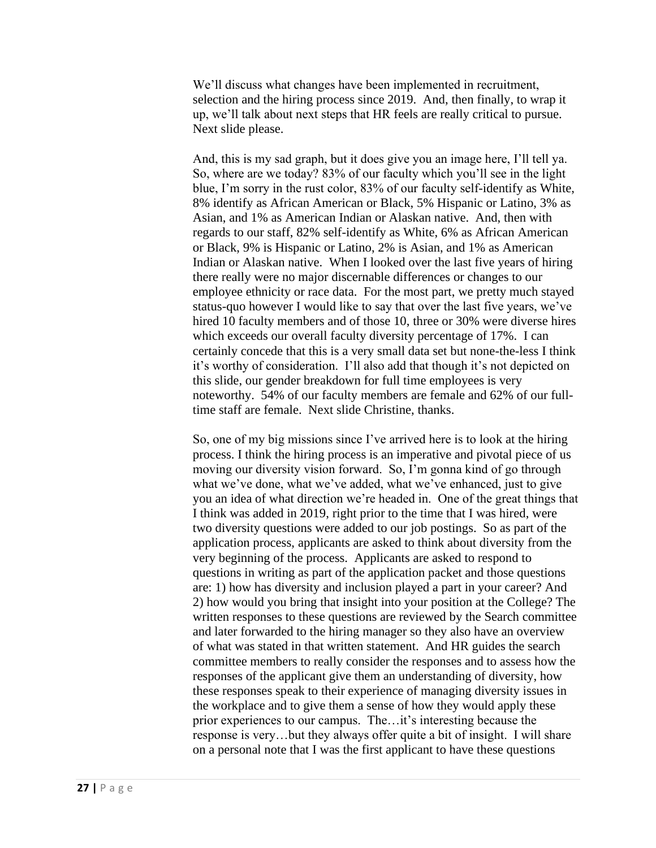We'll discuss what changes have been implemented in recruitment, selection and the hiring process since 2019. And, then finally, to wrap it up, we'll talk about next steps that HR feels are really critical to pursue. Next slide please.

And, this is my sad graph, but it does give you an image here, I'll tell ya. So, where are we today? 83% of our faculty which you'll see in the light blue, I'm sorry in the rust color, 83% of our faculty self-identify as White, 8% identify as African American or Black, 5% Hispanic or Latino, 3% as Asian, and 1% as American Indian or Alaskan native. And, then with regards to our staff, 82% self-identify as White, 6% as African American or Black, 9% is Hispanic or Latino, 2% is Asian, and 1% as American Indian or Alaskan native. When I looked over the last five years of hiring there really were no major discernable differences or changes to our employee ethnicity or race data. For the most part, we pretty much stayed status-quo however I would like to say that over the last five years, we've hired 10 faculty members and of those 10, three or 30% were diverse hires which exceeds our overall faculty diversity percentage of 17%. I can certainly concede that this is a very small data set but none-the-less I think it's worthy of consideration. I'll also add that though it's not depicted on this slide, our gender breakdown for full time employees is very noteworthy. 54% of our faculty members are female and 62% of our fulltime staff are female. Next slide Christine, thanks.

So, one of my big missions since I've arrived here is to look at the hiring process. I think the hiring process is an imperative and pivotal piece of us moving our diversity vision forward. So, I'm gonna kind of go through what we've done, what we've added, what we've enhanced, just to give you an idea of what direction we're headed in. One of the great things that I think was added in 2019, right prior to the time that I was hired, were two diversity questions were added to our job postings. So as part of the application process, applicants are asked to think about diversity from the very beginning of the process. Applicants are asked to respond to questions in writing as part of the application packet and those questions are: 1) how has diversity and inclusion played a part in your career? And 2) how would you bring that insight into your position at the College? The written responses to these questions are reviewed by the Search committee and later forwarded to the hiring manager so they also have an overview of what was stated in that written statement. And HR guides the search committee members to really consider the responses and to assess how the responses of the applicant give them an understanding of diversity, how these responses speak to their experience of managing diversity issues in the workplace and to give them a sense of how they would apply these prior experiences to our campus. The…it's interesting because the response is very…but they always offer quite a bit of insight. I will share on a personal note that I was the first applicant to have these questions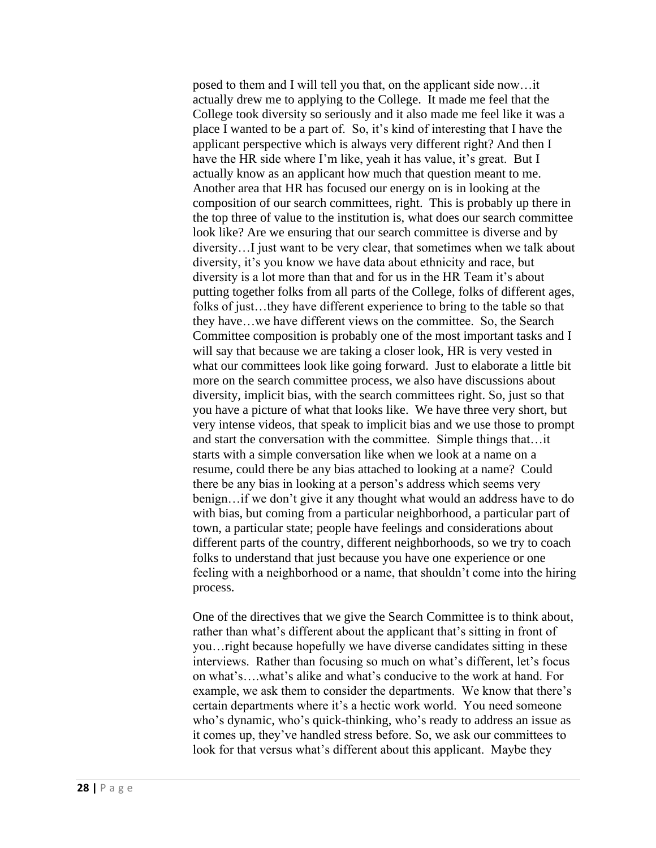posed to them and I will tell you that, on the applicant side now…it actually drew me to applying to the College. It made me feel that the College took diversity so seriously and it also made me feel like it was a place I wanted to be a part of. So, it's kind of interesting that I have the applicant perspective which is always very different right? And then I have the HR side where I'm like, yeah it has value, it's great. But I actually know as an applicant how much that question meant to me. Another area that HR has focused our energy on is in looking at the composition of our search committees, right. This is probably up there in the top three of value to the institution is, what does our search committee look like? Are we ensuring that our search committee is diverse and by diversity…I just want to be very clear, that sometimes when we talk about diversity, it's you know we have data about ethnicity and race, but diversity is a lot more than that and for us in the HR Team it's about putting together folks from all parts of the College, folks of different ages, folks of just…they have different experience to bring to the table so that they have…we have different views on the committee. So, the Search Committee composition is probably one of the most important tasks and I will say that because we are taking a closer look, HR is very vested in what our committees look like going forward. Just to elaborate a little bit more on the search committee process, we also have discussions about diversity, implicit bias, with the search committees right. So, just so that you have a picture of what that looks like. We have three very short, but very intense videos, that speak to implicit bias and we use those to prompt and start the conversation with the committee. Simple things that…it starts with a simple conversation like when we look at a name on a resume, could there be any bias attached to looking at a name? Could there be any bias in looking at a person's address which seems very benign…if we don't give it any thought what would an address have to do with bias, but coming from a particular neighborhood, a particular part of town, a particular state; people have feelings and considerations about different parts of the country, different neighborhoods, so we try to coach folks to understand that just because you have one experience or one feeling with a neighborhood or a name, that shouldn't come into the hiring process.

One of the directives that we give the Search Committee is to think about, rather than what's different about the applicant that's sitting in front of you…right because hopefully we have diverse candidates sitting in these interviews. Rather than focusing so much on what's different, let's focus on what's….what's alike and what's conducive to the work at hand. For example, we ask them to consider the departments. We know that there's certain departments where it's a hectic work world. You need someone who's dynamic, who's quick-thinking, who's ready to address an issue as it comes up, they've handled stress before. So, we ask our committees to look for that versus what's different about this applicant. Maybe they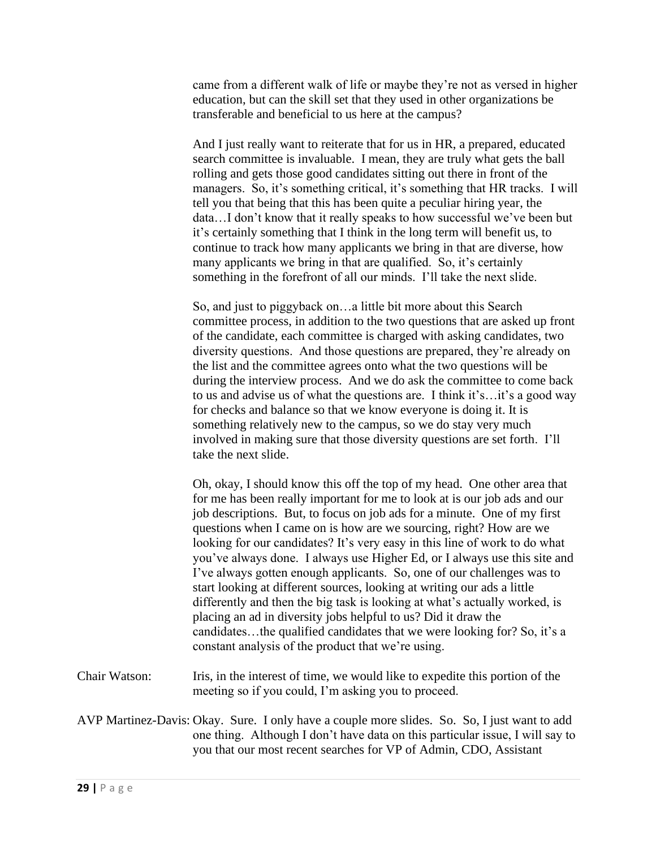came from a different walk of life or maybe they're not as versed in higher education, but can the skill set that they used in other organizations be transferable and beneficial to us here at the campus?

And I just really want to reiterate that for us in HR, a prepared, educated search committee is invaluable. I mean, they are truly what gets the ball rolling and gets those good candidates sitting out there in front of the managers. So, it's something critical, it's something that HR tracks. I will tell you that being that this has been quite a peculiar hiring year, the data…I don't know that it really speaks to how successful we've been but it's certainly something that I think in the long term will benefit us, to continue to track how many applicants we bring in that are diverse, how many applicants we bring in that are qualified. So, it's certainly something in the forefront of all our minds. I'll take the next slide.

So, and just to piggyback on…a little bit more about this Search committee process, in addition to the two questions that are asked up front of the candidate, each committee is charged with asking candidates, two diversity questions. And those questions are prepared, they're already on the list and the committee agrees onto what the two questions will be during the interview process. And we do ask the committee to come back to us and advise us of what the questions are. I think it's…it's a good way for checks and balance so that we know everyone is doing it. It is something relatively new to the campus, so we do stay very much involved in making sure that those diversity questions are set forth. I'll take the next slide.

Oh, okay, I should know this off the top of my head. One other area that for me has been really important for me to look at is our job ads and our job descriptions. But, to focus on job ads for a minute. One of my first questions when I came on is how are we sourcing, right? How are we looking for our candidates? It's very easy in this line of work to do what you've always done. I always use Higher Ed, or I always use this site and I've always gotten enough applicants. So, one of our challenges was to start looking at different sources, looking at writing our ads a little differently and then the big task is looking at what's actually worked, is placing an ad in diversity jobs helpful to us? Did it draw the candidates…the qualified candidates that we were looking for? So, it's a constant analysis of the product that we're using.

- Chair Watson: Iris, in the interest of time, we would like to expedite this portion of the meeting so if you could, I'm asking you to proceed.
- AVP Martinez-Davis: Okay. Sure. I only have a couple more slides. So. So, I just want to add one thing. Although I don't have data on this particular issue, I will say to you that our most recent searches for VP of Admin, CDO, Assistant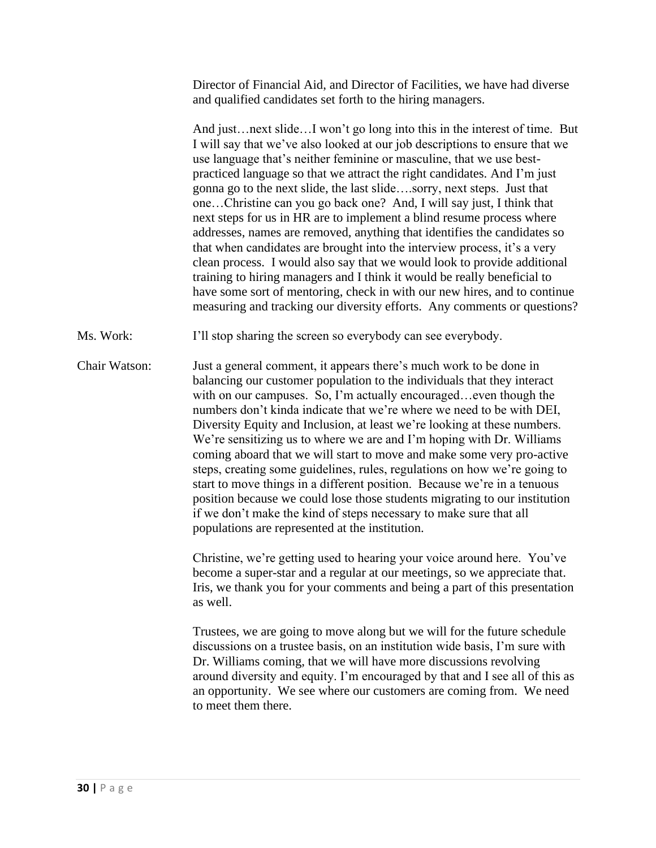Director of Financial Aid, and Director of Facilities, we have had diverse and qualified candidates set forth to the hiring managers.

And just…next slide…I won't go long into this in the interest of time. But I will say that we've also looked at our job descriptions to ensure that we use language that's neither feminine or masculine, that we use bestpracticed language so that we attract the right candidates. And I'm just gonna go to the next slide, the last slide….sorry, next steps. Just that one…Christine can you go back one? And, I will say just, I think that next steps for us in HR are to implement a blind resume process where addresses, names are removed, anything that identifies the candidates so that when candidates are brought into the interview process, it's a very clean process. I would also say that we would look to provide additional training to hiring managers and I think it would be really beneficial to have some sort of mentoring, check in with our new hires, and to continue measuring and tracking our diversity efforts. Any comments or questions?

Ms. Work: I'll stop sharing the screen so everybody can see everybody.

Chair Watson: Just a general comment, it appears there's much work to be done in balancing our customer population to the individuals that they interact with on our campuses. So, I'm actually encouraged...even though the numbers don't kinda indicate that we're where we need to be with DEI, Diversity Equity and Inclusion, at least we're looking at these numbers. We're sensitizing us to where we are and I'm hoping with Dr. Williams coming aboard that we will start to move and make some very pro-active steps, creating some guidelines, rules, regulations on how we're going to start to move things in a different position. Because we're in a tenuous position because we could lose those students migrating to our institution if we don't make the kind of steps necessary to make sure that all populations are represented at the institution.

> Christine, we're getting used to hearing your voice around here. You've become a super-star and a regular at our meetings, so we appreciate that. Iris, we thank you for your comments and being a part of this presentation as well.

> Trustees, we are going to move along but we will for the future schedule discussions on a trustee basis, on an institution wide basis, I'm sure with Dr. Williams coming, that we will have more discussions revolving around diversity and equity. I'm encouraged by that and I see all of this as an opportunity. We see where our customers are coming from. We need to meet them there.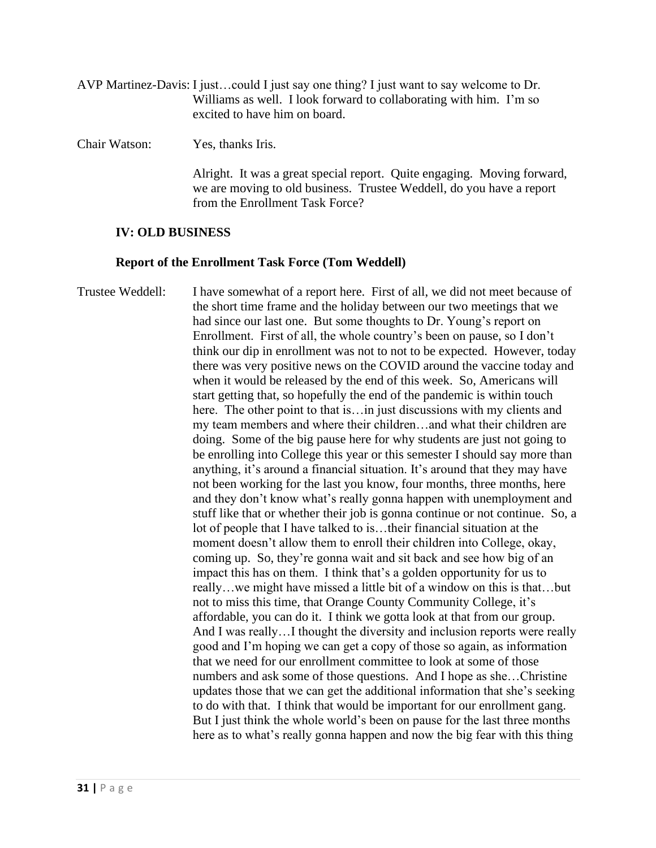| AVP Martinez-Davis: I justcould I just say one thing? I just want to say welcome to Dr. |  |
|-----------------------------------------------------------------------------------------|--|
| Williams as well. I look forward to collaborating with him. I'm so                      |  |
| excited to have him on board.                                                           |  |

Chair Watson: Yes, thanks Iris.

Alright. It was a great special report. Quite engaging. Moving forward, we are moving to old business. Trustee Weddell, do you have a report from the Enrollment Task Force?

# **IV: OLD BUSINESS**

# **Report of the Enrollment Task Force (Tom Weddell)**

Trustee Weddell: I have somewhat of a report here. First of all, we did not meet because of the short time frame and the holiday between our two meetings that we had since our last one. But some thoughts to Dr. Young's report on Enrollment. First of all, the whole country's been on pause, so I don't think our dip in enrollment was not to not to be expected. However, today there was very positive news on the COVID around the vaccine today and when it would be released by the end of this week. So, Americans will start getting that, so hopefully the end of the pandemic is within touch here. The other point to that is…in just discussions with my clients and my team members and where their children…and what their children are doing. Some of the big pause here for why students are just not going to be enrolling into College this year or this semester I should say more than anything, it's around a financial situation. It's around that they may have not been working for the last you know, four months, three months, here and they don't know what's really gonna happen with unemployment and stuff like that or whether their job is gonna continue or not continue. So, a lot of people that I have talked to is…their financial situation at the moment doesn't allow them to enroll their children into College, okay, coming up. So, they're gonna wait and sit back and see how big of an impact this has on them. I think that's a golden opportunity for us to really…we might have missed a little bit of a window on this is that…but not to miss this time, that Orange County Community College, it's affordable, you can do it. I think we gotta look at that from our group. And I was really…I thought the diversity and inclusion reports were really good and I'm hoping we can get a copy of those so again, as information that we need for our enrollment committee to look at some of those numbers and ask some of those questions. And I hope as she…Christine updates those that we can get the additional information that she's seeking to do with that. I think that would be important for our enrollment gang. But I just think the whole world's been on pause for the last three months here as to what's really gonna happen and now the big fear with this thing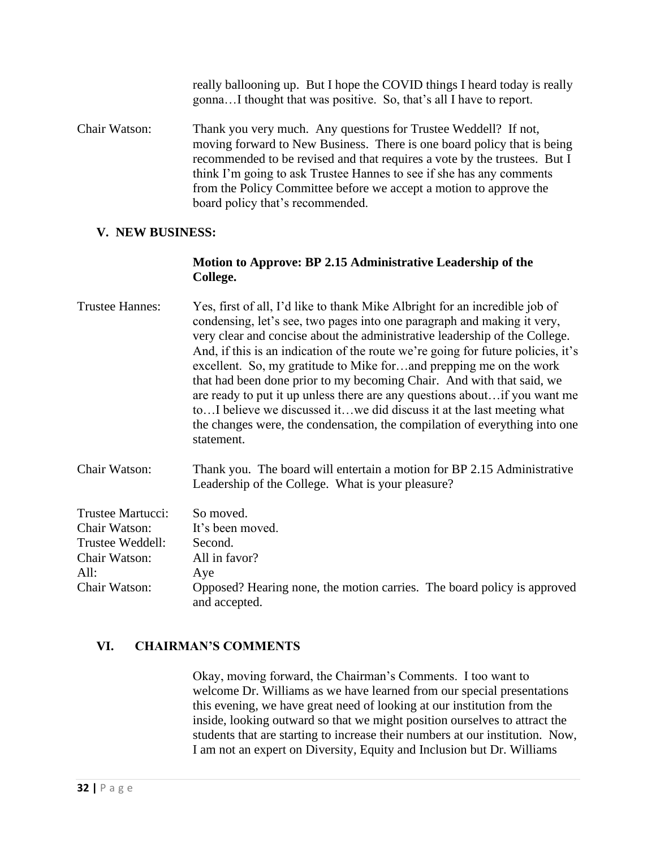really ballooning up. But I hope the COVID things I heard today is really gonna…I thought that was positive. So, that's all I have to report.

Chair Watson: Thank you very much. Any questions for Trustee Weddell? If not, moving forward to New Business. There is one board policy that is being recommended to be revised and that requires a vote by the trustees. But I think I'm going to ask Trustee Hannes to see if she has any comments from the Policy Committee before we accept a motion to approve the board policy that's recommended.

## **V. NEW BUSINESS:**

# **Motion to Approve: BP 2.15 Administrative Leadership of the College.**

| <b>Trustee Hannes:</b> | Yes, first of all, I'd like to thank Mike Albright for an incredible job of<br>condensing, let's see, two pages into one paragraph and making it very,<br>very clear and concise about the administrative leadership of the College.<br>And, if this is an indication of the route we're going for future policies, it's<br>excellent. So, my gratitude to Mike forand prepping me on the work<br>that had been done prior to my becoming Chair. And with that said, we<br>are ready to put it up unless there are any questions aboutif you want me<br>to I believe we discussed it we did discuss it at the last meeting what<br>the changes were, the condensation, the compilation of everything into one<br>statement. |
|------------------------|-----------------------------------------------------------------------------------------------------------------------------------------------------------------------------------------------------------------------------------------------------------------------------------------------------------------------------------------------------------------------------------------------------------------------------------------------------------------------------------------------------------------------------------------------------------------------------------------------------------------------------------------------------------------------------------------------------------------------------|
| Chair Watson:          | Thank you. The board will entertain a motion for BP 2.15 Administrative<br>Leadership of the College. What is your pleasure?                                                                                                                                                                                                                                                                                                                                                                                                                                                                                                                                                                                                |

| Trustee Martucci: | So moved.                                                               |
|-------------------|-------------------------------------------------------------------------|
| Chair Watson:     | It's been moved.                                                        |
| Trustee Weddell:  | Second.                                                                 |
| Chair Watson:     | All in favor?                                                           |
| All:              | Aye                                                                     |
| Chair Watson:     | Opposed? Hearing none, the motion carries. The board policy is approved |
|                   | and accepted.                                                           |

# **VI. CHAIRMAN'S COMMENTS**

Okay, moving forward, the Chairman's Comments. I too want to welcome Dr. Williams as we have learned from our special presentations this evening, we have great need of looking at our institution from the inside, looking outward so that we might position ourselves to attract the students that are starting to increase their numbers at our institution. Now, I am not an expert on Diversity, Equity and Inclusion but Dr. Williams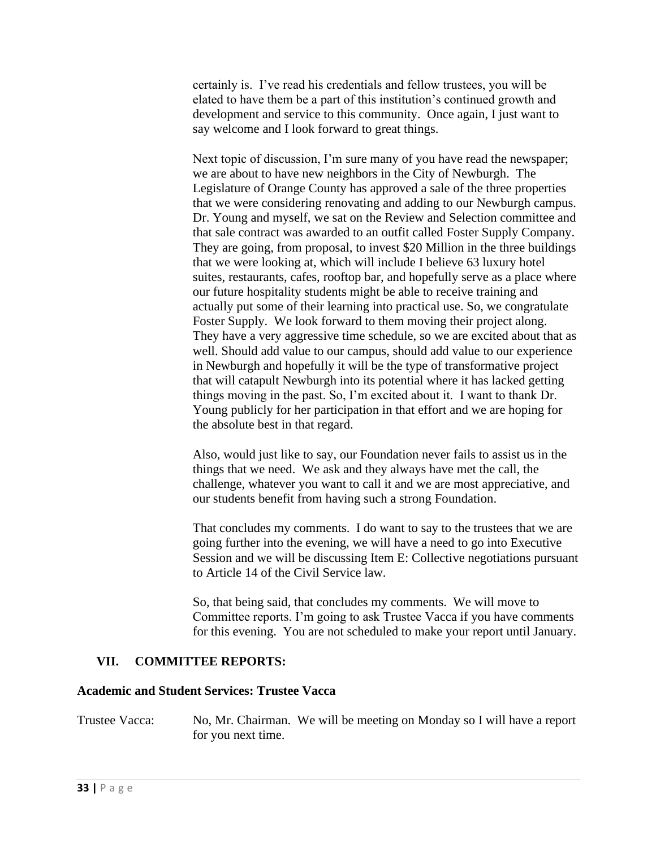certainly is. I've read his credentials and fellow trustees, you will be elated to have them be a part of this institution's continued growth and development and service to this community. Once again, I just want to say welcome and I look forward to great things.

Next topic of discussion, I'm sure many of you have read the newspaper; we are about to have new neighbors in the City of Newburgh. The Legislature of Orange County has approved a sale of the three properties that we were considering renovating and adding to our Newburgh campus. Dr. Young and myself, we sat on the Review and Selection committee and that sale contract was awarded to an outfit called Foster Supply Company. They are going, from proposal, to invest \$20 Million in the three buildings that we were looking at, which will include I believe 63 luxury hotel suites, restaurants, cafes, rooftop bar, and hopefully serve as a place where our future hospitality students might be able to receive training and actually put some of their learning into practical use. So, we congratulate Foster Supply. We look forward to them moving their project along. They have a very aggressive time schedule, so we are excited about that as well. Should add value to our campus, should add value to our experience in Newburgh and hopefully it will be the type of transformative project that will catapult Newburgh into its potential where it has lacked getting things moving in the past. So, I'm excited about it. I want to thank Dr. Young publicly for her participation in that effort and we are hoping for the absolute best in that regard.

Also, would just like to say, our Foundation never fails to assist us in the things that we need. We ask and they always have met the call, the challenge, whatever you want to call it and we are most appreciative, and our students benefit from having such a strong Foundation.

That concludes my comments. I do want to say to the trustees that we are going further into the evening, we will have a need to go into Executive Session and we will be discussing Item E: Collective negotiations pursuant to Article 14 of the Civil Service law.

So, that being said, that concludes my comments. We will move to Committee reports. I'm going to ask Trustee Vacca if you have comments for this evening. You are not scheduled to make your report until January.

## **VII. COMMITTEE REPORTS:**

## **Academic and Student Services: Trustee Vacca**

Trustee Vacca: No, Mr. Chairman. We will be meeting on Monday so I will have a report for you next time.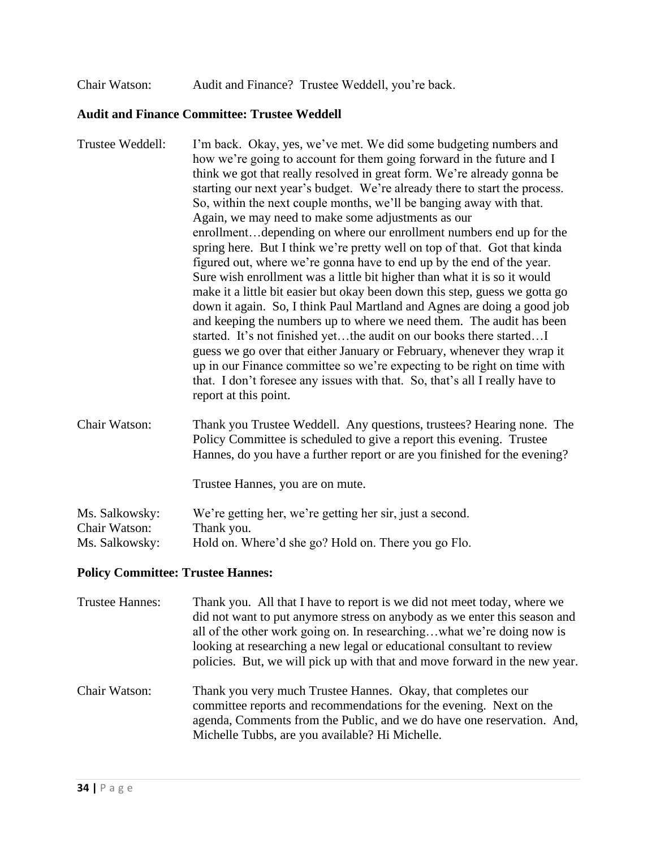Chair Watson: Audit and Finance? Trustee Weddell, you're back.

#### **Audit and Finance Committee: Trustee Weddell**

- Trustee Weddell: I'm back. Okay, yes, we've met. We did some budgeting numbers and how we're going to account for them going forward in the future and I think we got that really resolved in great form. We're already gonna be starting our next year's budget. We're already there to start the process. So, within the next couple months, we'll be banging away with that. Again, we may need to make some adjustments as our enrollment…depending on where our enrollment numbers end up for the spring here. But I think we're pretty well on top of that. Got that kinda figured out, where we're gonna have to end up by the end of the year. Sure wish enrollment was a little bit higher than what it is so it would make it a little bit easier but okay been down this step, guess we gotta go down it again. So, I think Paul Martland and Agnes are doing a good job and keeping the numbers up to where we need them. The audit has been started. It's not finished yet…the audit on our books there started…I guess we go over that either January or February, whenever they wrap it up in our Finance committee so we're expecting to be right on time with that. I don't foresee any issues with that. So, that's all I really have to report at this point. Chair Watson: Thank you Trustee Weddell. Any questions, trustees? Hearing none. The
- Policy Committee is scheduled to give a report this evening. Trustee Hannes, do you have a further report or are you finished for the evening?

Trustee Hannes, you are on mute.

| Ms. Salkowsky: | We're getting her, we're getting her sir, just a second. |
|----------------|----------------------------------------------------------|
| Chair Watson:  | Thank you.                                               |
| Ms. Salkowsky: | Hold on. Where'd she go? Hold on. There you go Flo.      |

#### **Policy Committee: Trustee Hannes:**

| Trustee Hannes: | Thank you. All that I have to report is we did not meet today, where we<br>did not want to put anymore stress on anybody as we enter this season and<br>all of the other work going on. In researchingwhat we're doing now is<br>looking at researching a new legal or educational consultant to review<br>policies. But, we will pick up with that and move forward in the new year. |
|-----------------|---------------------------------------------------------------------------------------------------------------------------------------------------------------------------------------------------------------------------------------------------------------------------------------------------------------------------------------------------------------------------------------|
| Chair Watson:   | Thank you very much Trustee Hannes. Okay, that completes our<br>committee reports and recommendations for the evening. Next on the<br>agenda, Comments from the Public, and we do have one reservation. And,<br>Michelle Tubbs, are you available? Hi Michelle.                                                                                                                       |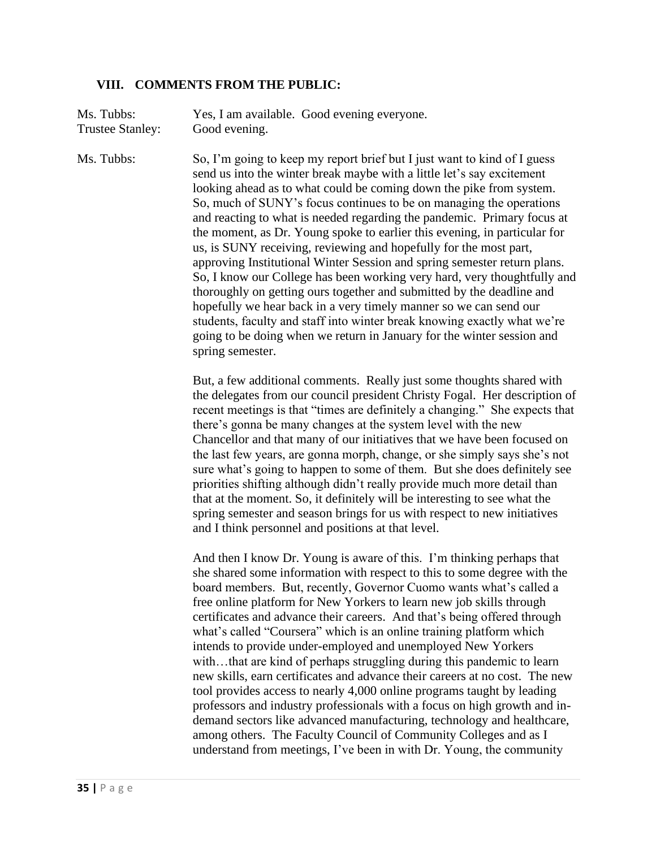## **VIII. COMMENTS FROM THE PUBLIC:**

Ms. Tubbs: Yes, I am available. Good evening everyone. Trustee Stanley: Good evening.

Ms. Tubbs: So, I'm going to keep my report brief but I just want to kind of I guess send us into the winter break maybe with a little let's say excitement looking ahead as to what could be coming down the pike from system. So, much of SUNY's focus continues to be on managing the operations and reacting to what is needed regarding the pandemic. Primary focus at the moment, as Dr. Young spoke to earlier this evening, in particular for us, is SUNY receiving, reviewing and hopefully for the most part, approving Institutional Winter Session and spring semester return plans. So, I know our College has been working very hard, very thoughtfully and thoroughly on getting ours together and submitted by the deadline and hopefully we hear back in a very timely manner so we can send our students, faculty and staff into winter break knowing exactly what we're going to be doing when we return in January for the winter session and spring semester.

> But, a few additional comments. Really just some thoughts shared with the delegates from our council president Christy Fogal. Her description of recent meetings is that "times are definitely a changing." She expects that there's gonna be many changes at the system level with the new Chancellor and that many of our initiatives that we have been focused on the last few years, are gonna morph, change, or she simply says she's not sure what's going to happen to some of them. But she does definitely see priorities shifting although didn't really provide much more detail than that at the moment. So, it definitely will be interesting to see what the spring semester and season brings for us with respect to new initiatives and I think personnel and positions at that level.

And then I know Dr. Young is aware of this. I'm thinking perhaps that she shared some information with respect to this to some degree with the board members. But, recently, Governor Cuomo wants what's called a free online platform for New Yorkers to learn new job skills through certificates and advance their careers. And that's being offered through what's called "Coursera" which is an online training platform which intends to provide under-employed and unemployed New Yorkers with...that are kind of perhaps struggling during this pandemic to learn new skills, earn certificates and advance their careers at no cost. The new tool provides access to nearly 4,000 online programs taught by leading professors and industry professionals with a focus on high growth and indemand sectors like advanced manufacturing, technology and healthcare, among others. The Faculty Council of Community Colleges and as I understand from meetings, I've been in with Dr. Young, the community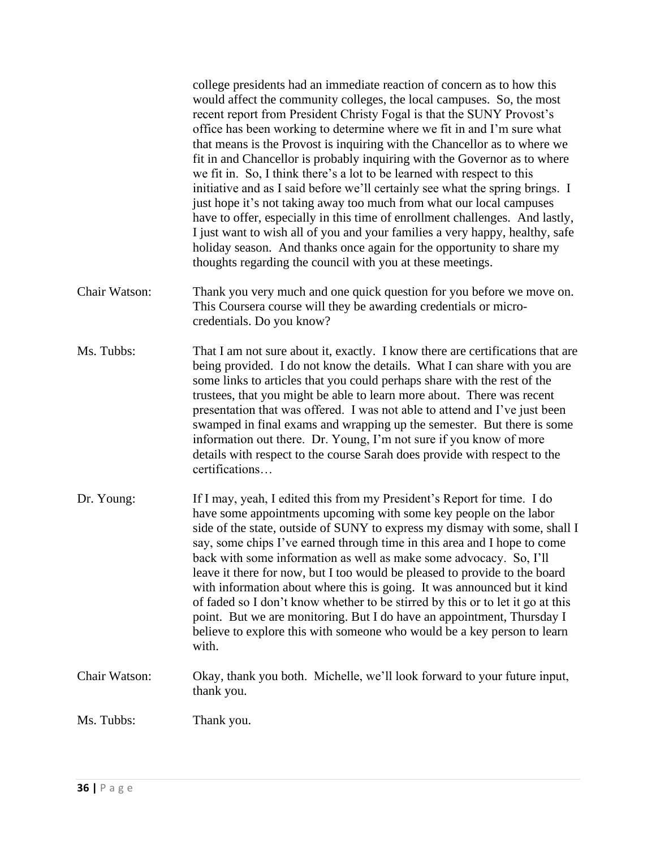|               | college presidents had an immediate reaction of concern as to how this<br>would affect the community colleges, the local campuses. So, the most<br>recent report from President Christy Fogal is that the SUNY Provost's<br>office has been working to determine where we fit in and I'm sure what<br>that means is the Provost is inquiring with the Chancellor as to where we<br>fit in and Chancellor is probably inquiring with the Governor as to where<br>we fit in. So, I think there's a lot to be learned with respect to this<br>initiative and as I said before we'll certainly see what the spring brings. I<br>just hope it's not taking away too much from what our local campuses<br>have to offer, especially in this time of enrollment challenges. And lastly,<br>I just want to wish all of you and your families a very happy, healthy, safe<br>holiday season. And thanks once again for the opportunity to share my<br>thoughts regarding the council with you at these meetings. |
|---------------|---------------------------------------------------------------------------------------------------------------------------------------------------------------------------------------------------------------------------------------------------------------------------------------------------------------------------------------------------------------------------------------------------------------------------------------------------------------------------------------------------------------------------------------------------------------------------------------------------------------------------------------------------------------------------------------------------------------------------------------------------------------------------------------------------------------------------------------------------------------------------------------------------------------------------------------------------------------------------------------------------------|
| Chair Watson: | Thank you very much and one quick question for you before we move on.<br>This Coursera course will they be awarding credentials or micro-<br>credentials. Do you know?                                                                                                                                                                                                                                                                                                                                                                                                                                                                                                                                                                                                                                                                                                                                                                                                                                  |
| Ms. Tubbs:    | That I am not sure about it, exactly. I know there are certifications that are<br>being provided. I do not know the details. What I can share with you are<br>some links to articles that you could perhaps share with the rest of the<br>trustees, that you might be able to learn more about. There was recent<br>presentation that was offered. I was not able to attend and I've just been<br>swamped in final exams and wrapping up the semester. But there is some<br>information out there. Dr. Young, I'm not sure if you know of more<br>details with respect to the course Sarah does provide with respect to the<br>certifications                                                                                                                                                                                                                                                                                                                                                           |
| Dr. Young:    | If I may, yeah, I edited this from my President's Report for time. I do<br>have some appointments upcoming with some key people on the labor<br>side of the state, outside of SUNY to express my dismay with some, shall I<br>say, some chips I've earned through time in this area and I hope to come<br>back with some information as well as make some advocacy. So, I'll<br>leave it there for now, but I too would be pleased to provide to the board<br>with information about where this is going. It was announced but it kind<br>of faded so I don't know whether to be stirred by this or to let it go at this<br>point. But we are monitoring. But I do have an appointment, Thursday I<br>believe to explore this with someone who would be a key person to learn<br>with.                                                                                                                                                                                                                  |
| Chair Watson: | Okay, thank you both. Michelle, we'll look forward to your future input,<br>thank you.                                                                                                                                                                                                                                                                                                                                                                                                                                                                                                                                                                                                                                                                                                                                                                                                                                                                                                                  |
| Ms. Tubbs:    | Thank you.                                                                                                                                                                                                                                                                                                                                                                                                                                                                                                                                                                                                                                                                                                                                                                                                                                                                                                                                                                                              |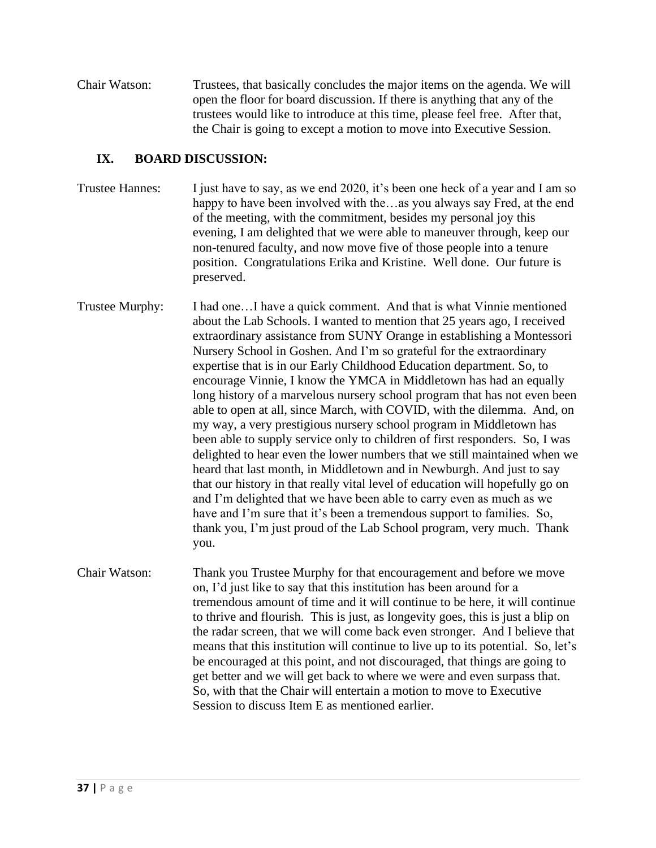Chair Watson: Trustees, that basically concludes the major items on the agenda. We will open the floor for board discussion. If there is anything that any of the trustees would like to introduce at this time, please feel free. After that, the Chair is going to except a motion to move into Executive Session.

# **IX. BOARD DISCUSSION:**

- Trustee Hannes: I just have to say, as we end 2020, it's been one heck of a year and I am so happy to have been involved with the...as you always say Fred, at the end of the meeting, with the commitment, besides my personal joy this evening, I am delighted that we were able to maneuver through, keep our non-tenured faculty, and now move five of those people into a tenure position. Congratulations Erika and Kristine. Well done. Our future is preserved.
- Trustee Murphy: I had one...I have a quick comment. And that is what Vinnie mentioned about the Lab Schools. I wanted to mention that 25 years ago, I received extraordinary assistance from SUNY Orange in establishing a Montessori Nursery School in Goshen. And I'm so grateful for the extraordinary expertise that is in our Early Childhood Education department. So, to encourage Vinnie, I know the YMCA in Middletown has had an equally long history of a marvelous nursery school program that has not even been able to open at all, since March, with COVID, with the dilemma. And, on my way, a very prestigious nursery school program in Middletown has been able to supply service only to children of first responders. So, I was delighted to hear even the lower numbers that we still maintained when we heard that last month, in Middletown and in Newburgh. And just to say that our history in that really vital level of education will hopefully go on and I'm delighted that we have been able to carry even as much as we have and I'm sure that it's been a tremendous support to families. So, thank you, I'm just proud of the Lab School program, very much. Thank you.
- Chair Watson: Thank you Trustee Murphy for that encouragement and before we move on, I'd just like to say that this institution has been around for a tremendous amount of time and it will continue to be here, it will continue to thrive and flourish. This is just, as longevity goes, this is just a blip on the radar screen, that we will come back even stronger. And I believe that means that this institution will continue to live up to its potential. So, let's be encouraged at this point, and not discouraged, that things are going to get better and we will get back to where we were and even surpass that. So, with that the Chair will entertain a motion to move to Executive Session to discuss Item E as mentioned earlier.